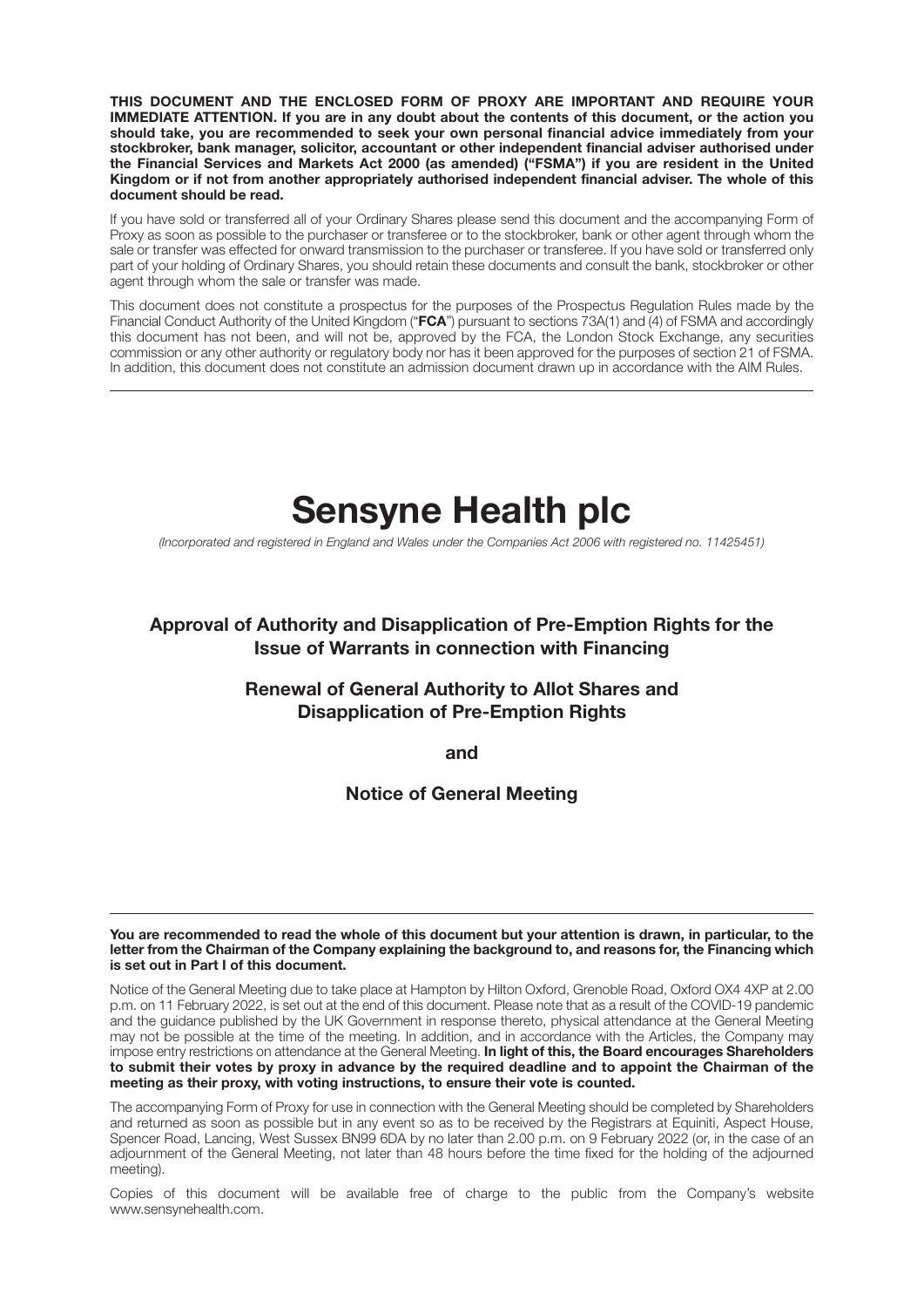**THIS DOCUMENT AND THE ENCLOSED FORM OF PROXY ARE IMPORTANT AND REQUIRE YOUR IMMEDIATE ATTENTION. If you are in any doubt about the contents of this document, or the action you should take, you are recommended to seek your own personal financial advice immediately from your stockbroker, bank manager, solicitor, accountant or other independent financial adviser authorised under the Financial Services and Markets Act 2000 (as amended) ("FSMA") if you are resident in the United Kingdom or if not from another appropriately authorised independent financial adviser. The whole of this document should be read.**

If you have sold or transferred all of your Ordinary Shares please send this document and the accompanying Form of Proxy as soon as possible to the purchaser or transferee or to the stockbroker, bank or other agent through whom the sale or transfer was effected for onward transmission to the purchaser or transferee. If you have sold or transferred only part of your holding of Ordinary Shares, you should retain these documents and consult the bank, stockbroker or other agent through whom the sale or transfer was made.

This document does not constitute a prospectus for the purposes of the Prospectus Regulation Rules made by the Financial Conduct Authority of the United Kingdom ("**FCA**") pursuant to sections 73A(1) and (4) of FSMA and accordingly this document has not been, and will not be, approved by the FCA, the London Stock Exchange, any securities commission or any other authority or regulatory body nor has it been approved for the purposes of section 21 of FSMA. In addition, this document does not constitute an admission document drawn up in accordance with the AIM Rules.

# **Sensyne Health plc**

*(Incorporated and registered in England and Wales under the Companies Act 2006 with registered no. 11425451)*

#### **Approval of Authority and Disapplication of Pre-Emption Rights for the Issue of Warrants in connection with Financing**

#### **Renewal of General Authority to Allot Shares and Disapplication of Pre-Emption Rights**

**and**

#### **Notice of General Meeting**

**You are recommended to read the whole of this document but your attention is drawn, in particular, to the letter from the Chairman of the Company explaining the background to, and reasons for, the Financing which is set out in Part I of this document.**

Notice of the General Meeting due to take place at Hampton by Hilton Oxford, Grenoble Road, Oxford OX4 4XP at 2.00 p.m. on 11 February 2022, is set out at the end of this document. Please note that as a result of the COVID-19 pandemic and the guidance published by the UK Government in response thereto, physical attendance at the General Meeting may not be possible at the time of the meeting. In addition, and in accordance with the Articles, the Company may impose entry restrictions on attendance at the General Meeting. **In light of this, the Board encourages Shareholders to submit their votes by proxy in advance by the required deadline and to appoint the Chairman of the meeting as their proxy, with voting instructions, to ensure their vote is counted.**

The accompanying Form of Proxy for use in connection with the General Meeting should be completed by Shareholders and returned as soon as possible but in any event so as to be received by the Registrars at Equiniti, Aspect House, Spencer Road, Lancing, West Sussex BN99 6DA by no later than 2.00 p.m. on 9 February 2022 (or, in the case of an adjournment of the General Meeting, not later than 48 hours before the time fixed for the holding of the adjourned meeting).

Copies of this document will be available free of charge to the public from the Company's website www.sensynehealth.com.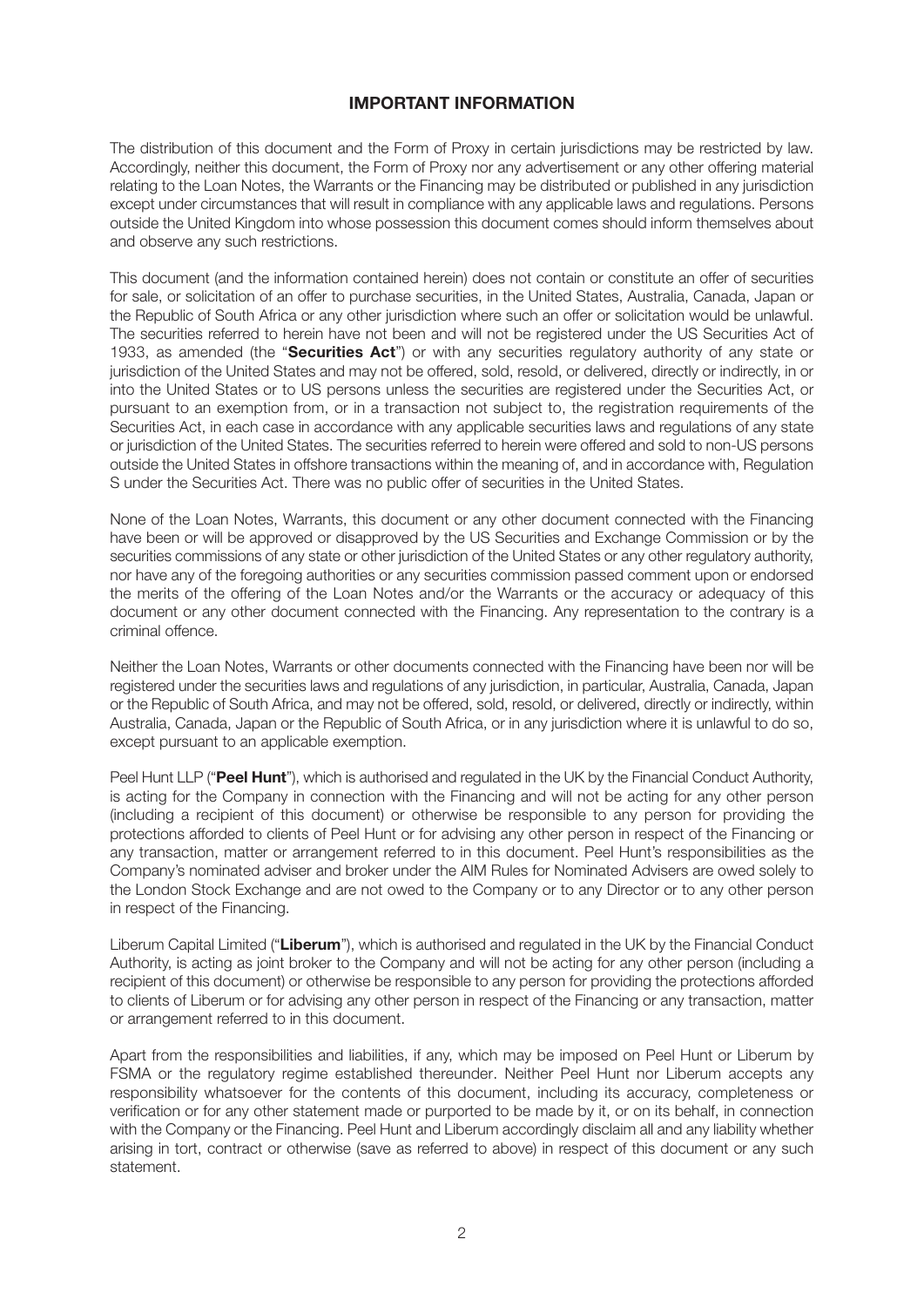#### **IMPORTANT INFORMATION**

The distribution of this document and the Form of Proxy in certain jurisdictions may be restricted by law. Accordingly, neither this document, the Form of Proxy nor any advertisement or any other offering material relating to the Loan Notes, the Warrants or the Financing may be distributed or published in any jurisdiction except under circumstances that will result in compliance with any applicable laws and regulations. Persons outside the United Kingdom into whose possession this document comes should inform themselves about and observe any such restrictions.

This document (and the information contained herein) does not contain or constitute an offer of securities for sale, or solicitation of an offer to purchase securities, in the United States, Australia, Canada, Japan or the Republic of South Africa or any other jurisdiction where such an offer or solicitation would be unlawful. The securities referred to herein have not been and will not be registered under the US Securities Act of 1933, as amended (the "**Securities Act**") or with any securities regulatory authority of any state or jurisdiction of the United States and may not be offered, sold, resold, or delivered, directly or indirectly, in or into the United States or to US persons unless the securities are registered under the Securities Act, or pursuant to an exemption from, or in a transaction not subject to, the registration requirements of the Securities Act, in each case in accordance with any applicable securities laws and regulations of any state or jurisdiction of the United States. The securities referred to herein were offered and sold to non-US persons outside the United States in offshore transactions within the meaning of, and in accordance with, Regulation S under the Securities Act. There was no public offer of securities in the United States.

None of the Loan Notes, Warrants, this document or any other document connected with the Financing have been or will be approved or disapproved by the US Securities and Exchange Commission or by the securities commissions of any state or other jurisdiction of the United States or any other regulatory authority, nor have any of the foregoing authorities or any securities commission passed comment upon or endorsed the merits of the offering of the Loan Notes and/or the Warrants or the accuracy or adequacy of this document or any other document connected with the Financing. Any representation to the contrary is a criminal offence.

Neither the Loan Notes, Warrants or other documents connected with the Financing have been nor will be registered under the securities laws and regulations of any jurisdiction, in particular, Australia, Canada, Japan or the Republic of South Africa, and may not be offered, sold, resold, or delivered, directly or indirectly, within Australia, Canada, Japan or the Republic of South Africa, or in any jurisdiction where it is unlawful to do so, except pursuant to an applicable exemption.

Peel Hunt LLP ("**Peel Hunt**"), which is authorised and regulated in the UK by the Financial Conduct Authority, is acting for the Company in connection with the Financing and will not be acting for any other person (including a recipient of this document) or otherwise be responsible to any person for providing the protections afforded to clients of Peel Hunt or for advising any other person in respect of the Financing or any transaction, matter or arrangement referred to in this document. Peel Hunt's responsibilities as the Company's nominated adviser and broker under the AIM Rules for Nominated Advisers are owed solely to the London Stock Exchange and are not owed to the Company or to any Director or to any other person in respect of the Financing.

Liberum Capital Limited ("**Liberum**"), which is authorised and regulated in the UK by the Financial Conduct Authority, is acting as joint broker to the Company and will not be acting for any other person (including a recipient of this document) or otherwise be responsible to any person for providing the protections afforded to clients of Liberum or for advising any other person in respect of the Financing or any transaction, matter or arrangement referred to in this document.

Apart from the responsibilities and liabilities, if any, which may be imposed on Peel Hunt or Liberum by FSMA or the regulatory regime established thereunder. Neither Peel Hunt nor Liberum accepts any responsibility whatsoever for the contents of this document, including its accuracy, completeness or verification or for any other statement made or purported to be made by it, or on its behalf, in connection with the Company or the Financing. Peel Hunt and Liberum accordingly disclaim all and any liability whether arising in tort, contract or otherwise (save as referred to above) in respect of this document or any such statement.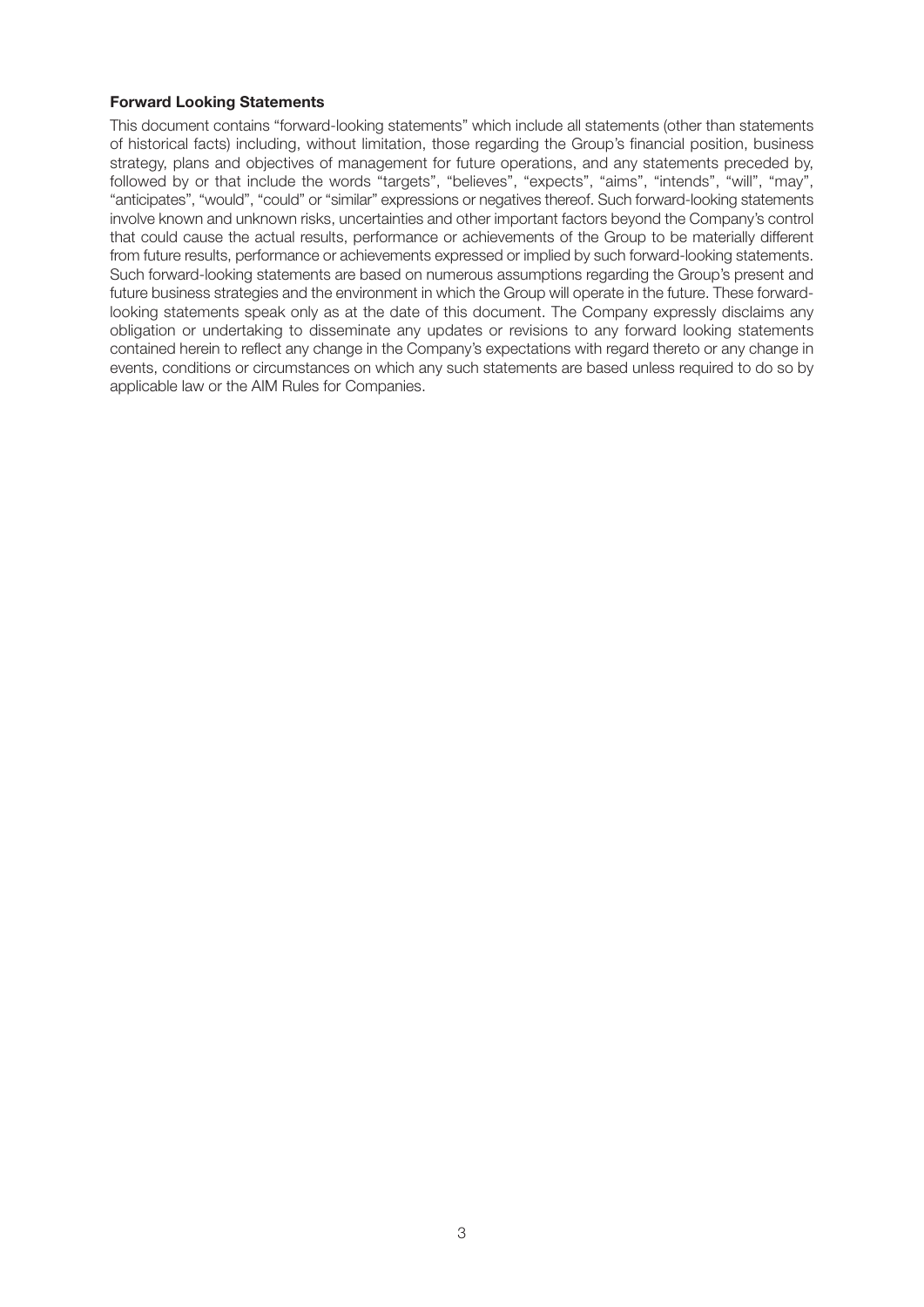#### **Forward Looking Statements**

This document contains "forward-looking statements" which include all statements (other than statements of historical facts) including, without limitation, those regarding the Group's financial position, business strategy, plans and objectives of management for future operations, and any statements preceded by, followed by or that include the words "targets", "believes", "expects", "aims", "intends", "will", "may", "anticipates", "would", "could" or "similar" expressions or negatives thereof. Such forward-looking statements involve known and unknown risks, uncertainties and other important factors beyond the Company's control that could cause the actual results, performance or achievements of the Group to be materially different from future results, performance or achievements expressed or implied by such forward-looking statements. Such forward-looking statements are based on numerous assumptions regarding the Group's present and future business strategies and the environment in which the Group will operate in the future. These forwardlooking statements speak only as at the date of this document. The Company expressly disclaims any obligation or undertaking to disseminate any updates or revisions to any forward looking statements contained herein to reflect any change in the Company's expectations with regard thereto or any change in events, conditions or circumstances on which any such statements are based unless required to do so by applicable law or the AIM Rules for Companies.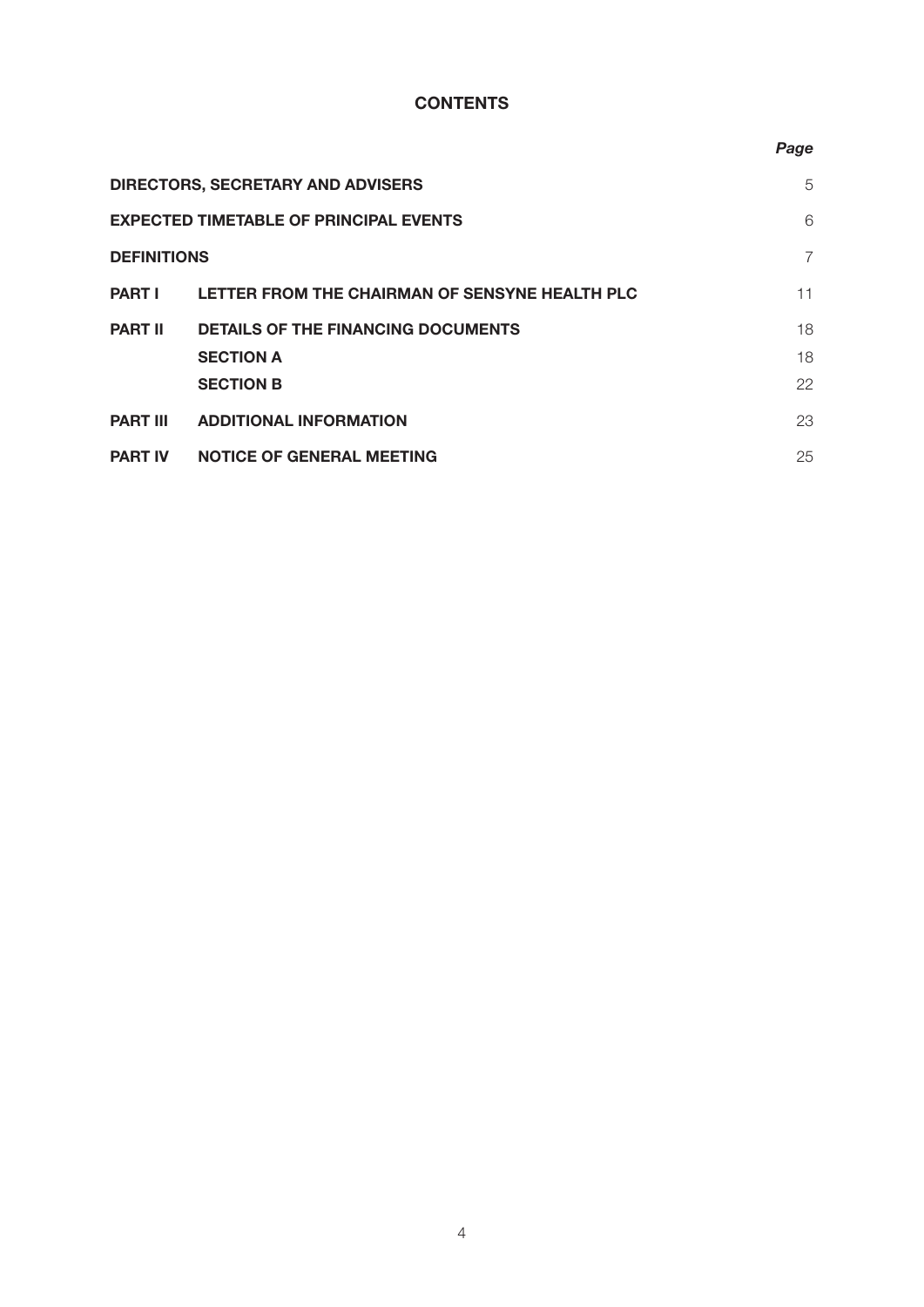#### **CONTENTS**

|                    |                                                | Page           |
|--------------------|------------------------------------------------|----------------|
|                    | <b>DIRECTORS, SECRETARY AND ADVISERS</b>       | 5              |
|                    | <b>EXPECTED TIMETABLE OF PRINCIPAL EVENTS</b>  | 6              |
| <b>DEFINITIONS</b> |                                                | $\overline{7}$ |
| <b>PART I</b>      | LETTER FROM THE CHAIRMAN OF SENSYNE HEALTH PLC | 11             |
| <b>PART II</b>     | <b>DETAILS OF THE FINANCING DOCUMENTS</b>      | 18             |
|                    | <b>SECTION A</b>                               | 18             |
|                    | <b>SECTION B</b>                               | 22             |
| <b>PART III</b>    | <b>ADDITIONAL INFORMATION</b>                  | 23             |
| <b>PART IV</b>     | <b>NOTICE OF GENERAL MEETING</b>               | 25             |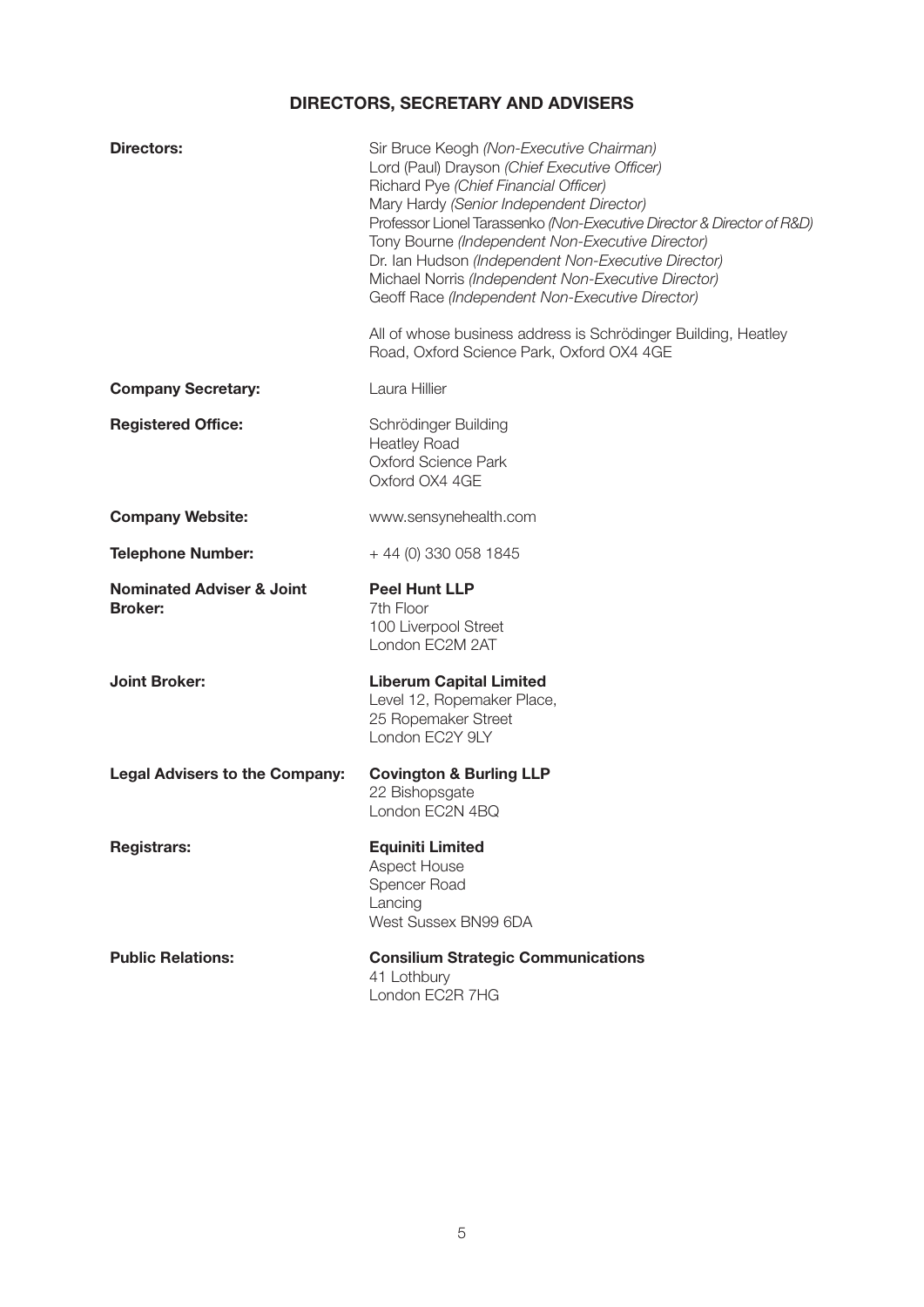### **DIRECTORS, SECRETARY AND ADVISERS**

| Directors:                                             | Sir Bruce Keogh (Non-Executive Chairman)<br>Lord (Paul) Drayson (Chief Executive Officer)<br>Richard Pye (Chief Financial Officer)<br>Mary Hardy (Senior Independent Director)<br>Professor Lionel Tarassenko (Non-Executive Director & Director of R&D)<br>Tony Bourne (Independent Non-Executive Director)<br>Dr. Ian Hudson (Independent Non-Executive Director)<br>Michael Norris (Independent Non-Executive Director)<br>Geoff Race (Independent Non-Executive Director)<br>All of whose business address is Schrödinger Building, Heatley<br>Road, Oxford Science Park, Oxford OX4 4GE |
|--------------------------------------------------------|----------------------------------------------------------------------------------------------------------------------------------------------------------------------------------------------------------------------------------------------------------------------------------------------------------------------------------------------------------------------------------------------------------------------------------------------------------------------------------------------------------------------------------------------------------------------------------------------|
| <b>Company Secretary:</b>                              | Laura Hillier                                                                                                                                                                                                                                                                                                                                                                                                                                                                                                                                                                                |
| <b>Registered Office:</b>                              | Schrödinger Building<br><b>Heatley Road</b><br><b>Oxford Science Park</b><br>Oxford OX4 4GE                                                                                                                                                                                                                                                                                                                                                                                                                                                                                                  |
| <b>Company Website:</b>                                | www.sensynehealth.com                                                                                                                                                                                                                                                                                                                                                                                                                                                                                                                                                                        |
| <b>Telephone Number:</b>                               | + 44 (0) 330 058 1845                                                                                                                                                                                                                                                                                                                                                                                                                                                                                                                                                                        |
| <b>Nominated Adviser &amp; Joint</b><br><b>Broker:</b> | <b>Peel Hunt LLP</b><br>7th Floor<br>100 Liverpool Street<br>London EC2M 2AT                                                                                                                                                                                                                                                                                                                                                                                                                                                                                                                 |
| <b>Joint Broker:</b>                                   | <b>Liberum Capital Limited</b><br>Level 12, Ropemaker Place,<br>25 Ropemaker Street<br>London EC2Y 9LY                                                                                                                                                                                                                                                                                                                                                                                                                                                                                       |
| <b>Legal Advisers to the Company:</b>                  | <b>Covington &amp; Burling LLP</b><br>22 Bishopsgate<br>London EC2N 4BQ                                                                                                                                                                                                                                                                                                                                                                                                                                                                                                                      |
| <b>Registrars:</b>                                     | <b>Equiniti Limited</b><br>Aspect House<br>Spencer Road<br>Lancing<br>West Sussex BN99 6DA                                                                                                                                                                                                                                                                                                                                                                                                                                                                                                   |
| <b>Public Relations:</b>                               | <b>Consilium Strategic Communications</b><br>41 Lothbury<br>London EC2R 7HG                                                                                                                                                                                                                                                                                                                                                                                                                                                                                                                  |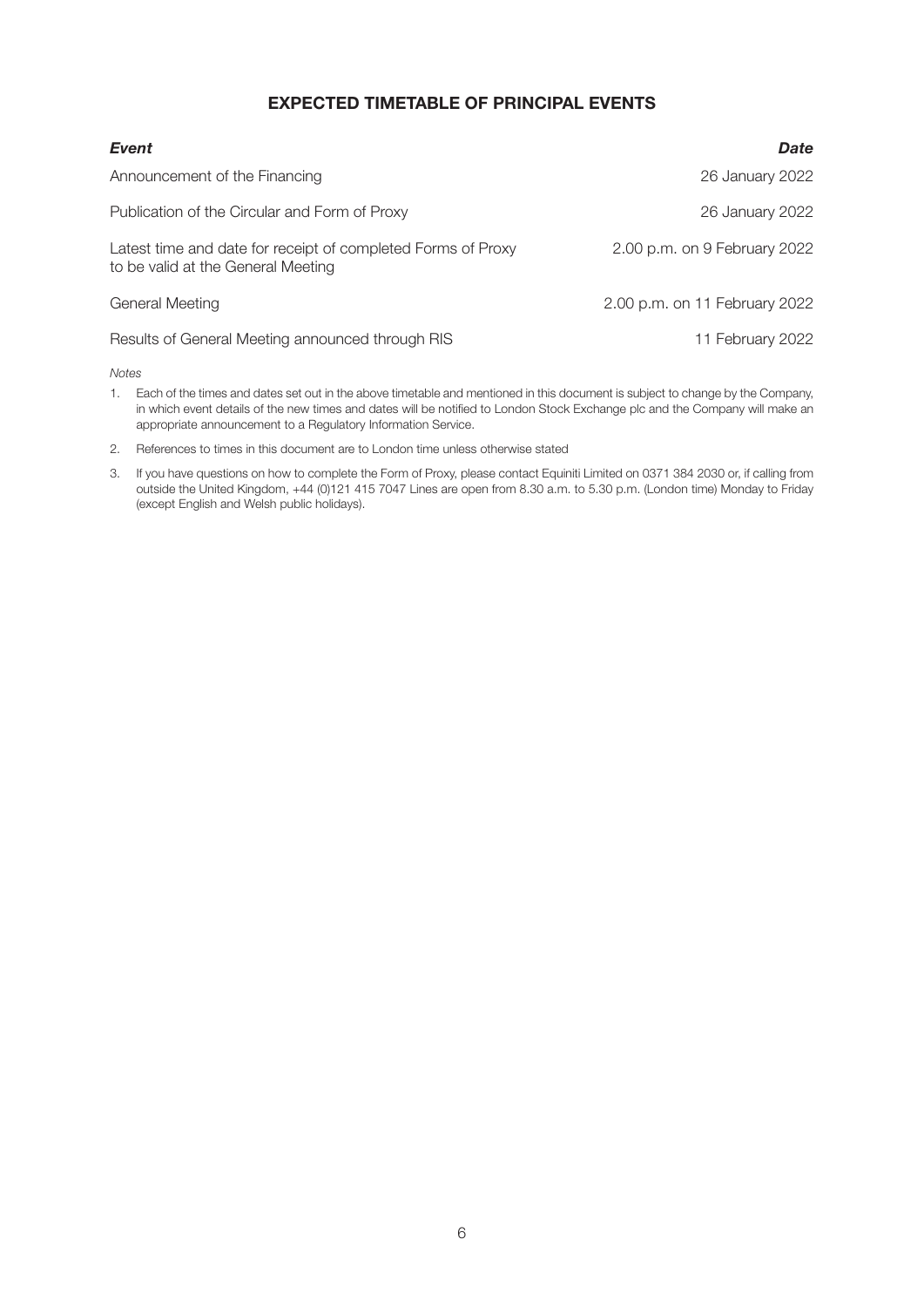#### **EXPECTED TIMETABLE OF PRINCIPAL EVENTS**

| Event                                                                                              | Date                          |
|----------------------------------------------------------------------------------------------------|-------------------------------|
| Announcement of the Financing                                                                      | 26 January 2022               |
| Publication of the Circular and Form of Proxy                                                      | 26 January 2022               |
| Latest time and date for receipt of completed Forms of Proxy<br>to be valid at the General Meeting | 2.00 p.m. on 9 February 2022  |
| General Meeting                                                                                    | 2.00 p.m. on 11 February 2022 |
| Results of General Meeting announced through RIS                                                   | 11 February 2022              |

*Notes*

- 1. Each of the times and dates set out in the above timetable and mentioned in this document is subject to change by the Company, in which event details of the new times and dates will be notified to London Stock Exchange plc and the Company will make an appropriate announcement to a Regulatory Information Service.
- 2. References to times in this document are to London time unless otherwise stated
- 3. If you have questions on how to complete the Form of Proxy, please contact Equiniti Limited on 0371 384 2030 or, if calling from outside the United Kingdom, +44 (0)121 415 7047 Lines are open from 8.30 a.m. to 5.30 p.m. (London time) Monday to Friday (except English and Welsh public holidays).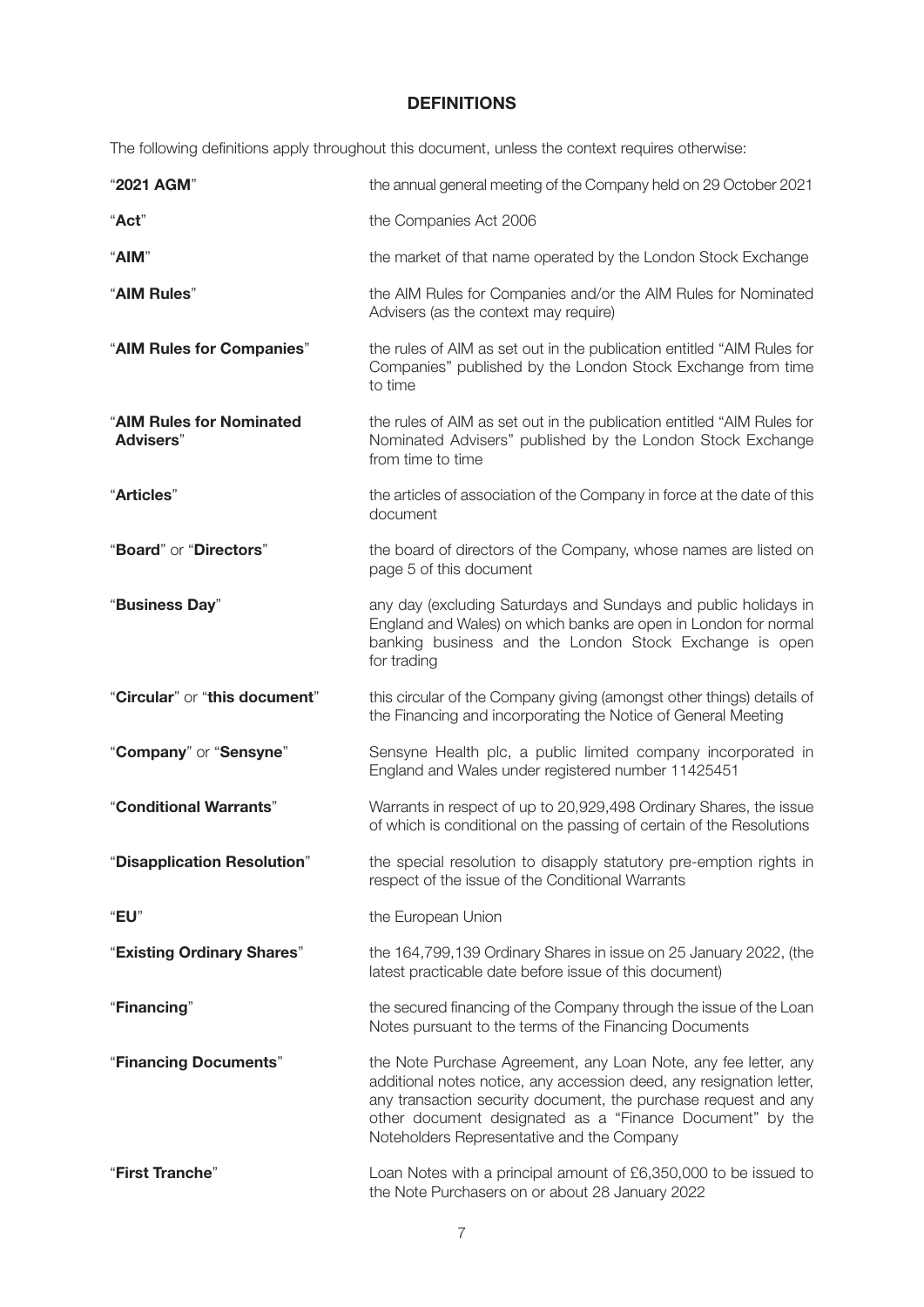#### **DEFINITIONS**

The following definitions apply throughout this document, unless the context requires otherwise:

| "2021 AGM"                                   | the annual general meeting of the Company held on 29 October 2021                                                                                                                                                                                                                                                    |
|----------------------------------------------|----------------------------------------------------------------------------------------------------------------------------------------------------------------------------------------------------------------------------------------------------------------------------------------------------------------------|
| "Act"                                        | the Companies Act 2006                                                                                                                                                                                                                                                                                               |
| "AIM"                                        | the market of that name operated by the London Stock Exchange                                                                                                                                                                                                                                                        |
| "AIM Rules"                                  | the AIM Rules for Companies and/or the AIM Rules for Nominated<br>Advisers (as the context may require)                                                                                                                                                                                                              |
| "AIM Rules for Companies"                    | the rules of AIM as set out in the publication entitled "AIM Rules for<br>Companies" published by the London Stock Exchange from time<br>to time                                                                                                                                                                     |
| "AIM Rules for Nominated<br><b>Advisers"</b> | the rules of AIM as set out in the publication entitled "AIM Rules for<br>Nominated Advisers" published by the London Stock Exchange<br>from time to time                                                                                                                                                            |
| "Articles"                                   | the articles of association of the Company in force at the date of this<br>document                                                                                                                                                                                                                                  |
| "Board" or "Directors"                       | the board of directors of the Company, whose names are listed on<br>page 5 of this document                                                                                                                                                                                                                          |
| "Business Day"                               | any day (excluding Saturdays and Sundays and public holidays in<br>England and Wales) on which banks are open in London for normal<br>banking business and the London Stock Exchange is open<br>for trading                                                                                                          |
| "Circular" or "this document"                | this circular of the Company giving (amongst other things) details of                                                                                                                                                                                                                                                |
|                                              | the Financing and incorporating the Notice of General Meeting                                                                                                                                                                                                                                                        |
| "Company" or "Sensyne"                       | Sensyne Health plc, a public limited company incorporated in<br>England and Wales under registered number 11425451                                                                                                                                                                                                   |
| "Conditional Warrants"                       | Warrants in respect of up to 20,929,498 Ordinary Shares, the issue<br>of which is conditional on the passing of certain of the Resolutions                                                                                                                                                                           |
| "Disapplication Resolution"                  | the special resolution to disapply statutory pre-emption rights in<br>respect of the issue of the Conditional Warrants                                                                                                                                                                                               |
| "EU"                                         | the European Union                                                                                                                                                                                                                                                                                                   |
| "Existing Ordinary Shares"                   | the 164,799,139 Ordinary Shares in issue on 25 January 2022, (the<br>latest practicable date before issue of this document)                                                                                                                                                                                          |
| "Financing"                                  | the secured financing of the Company through the issue of the Loan<br>Notes pursuant to the terms of the Financing Documents                                                                                                                                                                                         |
| "Financing Documents"                        | the Note Purchase Agreement, any Loan Note, any fee letter, any<br>additional notes notice, any accession deed, any resignation letter,<br>any transaction security document, the purchase request and any<br>other document designated as a "Finance Document" by the<br>Noteholders Representative and the Company |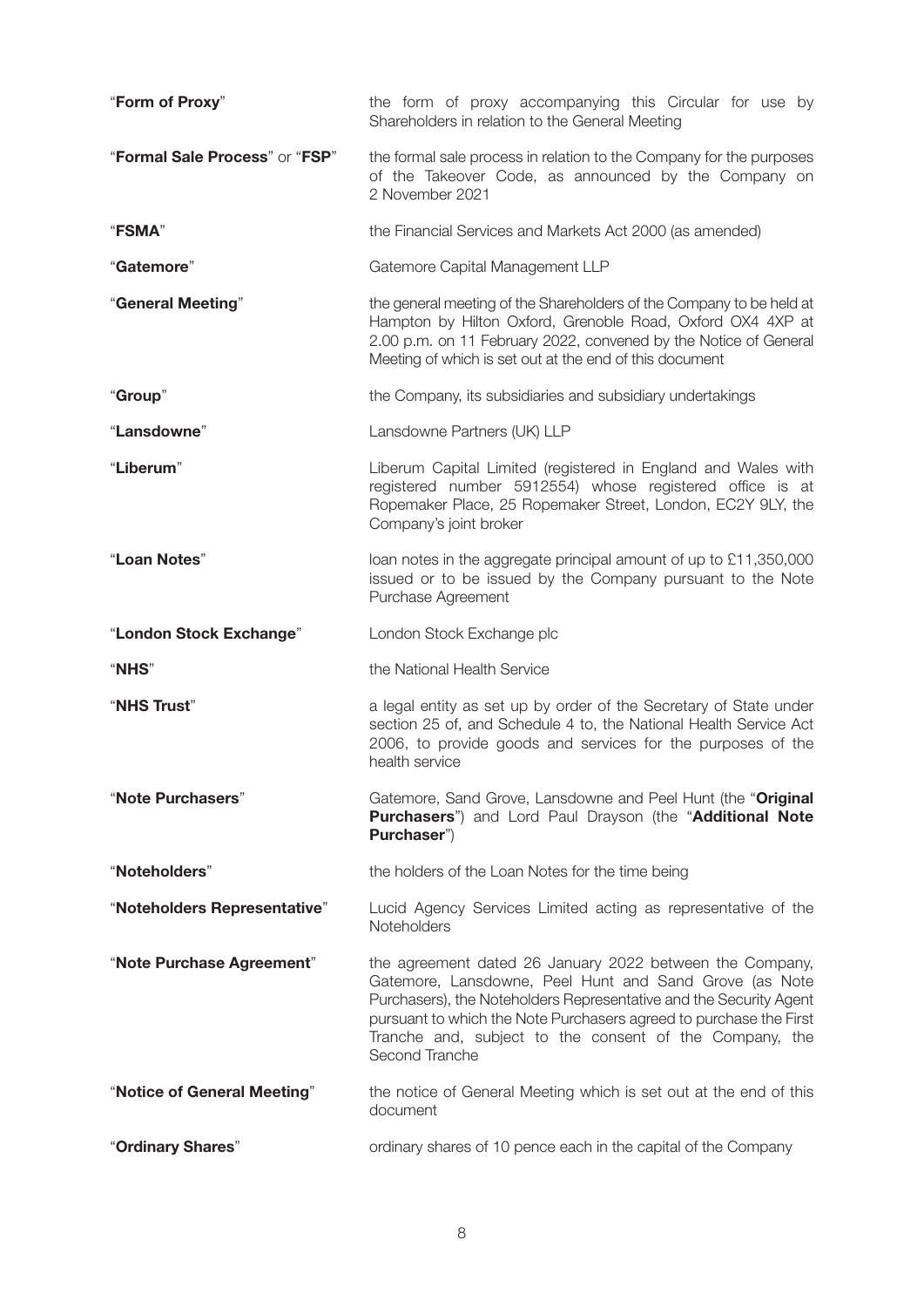| "Form of Proxy"                | the form of proxy accompanying this Circular for use by<br>Shareholders in relation to the General Meeting                                                                                                                                                                                                                                  |  |
|--------------------------------|---------------------------------------------------------------------------------------------------------------------------------------------------------------------------------------------------------------------------------------------------------------------------------------------------------------------------------------------|--|
| "Formal Sale Process" or "FSP" | the formal sale process in relation to the Company for the purposes<br>of the Takeover Code, as announced by the Company on<br>2 November 2021                                                                                                                                                                                              |  |
| "FSMA"                         | the Financial Services and Markets Act 2000 (as amended)                                                                                                                                                                                                                                                                                    |  |
| "Gatemore"                     | Gatemore Capital Management LLP                                                                                                                                                                                                                                                                                                             |  |
| "General Meeting"              | the general meeting of the Shareholders of the Company to be held at<br>Hampton by Hilton Oxford, Grenoble Road, Oxford OX4 4XP at<br>2.00 p.m. on 11 February 2022, convened by the Notice of General<br>Meeting of which is set out at the end of this document                                                                           |  |
| "Group"                        | the Company, its subsidiaries and subsidiary undertakings                                                                                                                                                                                                                                                                                   |  |
| "Lansdowne"                    | Lansdowne Partners (UK) LLP                                                                                                                                                                                                                                                                                                                 |  |
| "Liberum"                      | Liberum Capital Limited (registered in England and Wales with<br>registered number 5912554) whose registered office is at<br>Ropemaker Place, 25 Ropemaker Street, London, EC2Y 9LY, the<br>Company's joint broker                                                                                                                          |  |
| "Loan Notes"                   | loan notes in the aggregate principal amount of up to £11,350,000<br>issued or to be issued by the Company pursuant to the Note<br>Purchase Agreement                                                                                                                                                                                       |  |
| "London Stock Exchange"        | London Stock Exchange plc                                                                                                                                                                                                                                                                                                                   |  |
| <b>"NHS"</b>                   | the National Health Service                                                                                                                                                                                                                                                                                                                 |  |
| "NHS Trust"                    | a legal entity as set up by order of the Secretary of State under<br>section 25 of, and Schedule 4 to, the National Health Service Act<br>2006, to provide goods and services for the purposes of the<br>health service                                                                                                                     |  |
| "Note Purchasers"              | Gatemore, Sand Grove, Lansdowne and Peel Hunt (the "Original<br>Purchasers") and Lord Paul Drayson (the "Additional Note<br>Purchaser")                                                                                                                                                                                                     |  |
| "Noteholders"                  | the holders of the Loan Notes for the time being                                                                                                                                                                                                                                                                                            |  |
| "Noteholders Representative"   | Lucid Agency Services Limited acting as representative of the<br>Noteholders                                                                                                                                                                                                                                                                |  |
| "Note Purchase Agreement"      | the agreement dated 26 January 2022 between the Company,<br>Gatemore, Lansdowne, Peel Hunt and Sand Grove (as Note<br>Purchasers), the Noteholders Representative and the Security Agent<br>pursuant to which the Note Purchasers agreed to purchase the First<br>Tranche and, subject to the consent of the Company, the<br>Second Tranche |  |
| "Notice of General Meeting"    | the notice of General Meeting which is set out at the end of this<br>document                                                                                                                                                                                                                                                               |  |
|                                |                                                                                                                                                                                                                                                                                                                                             |  |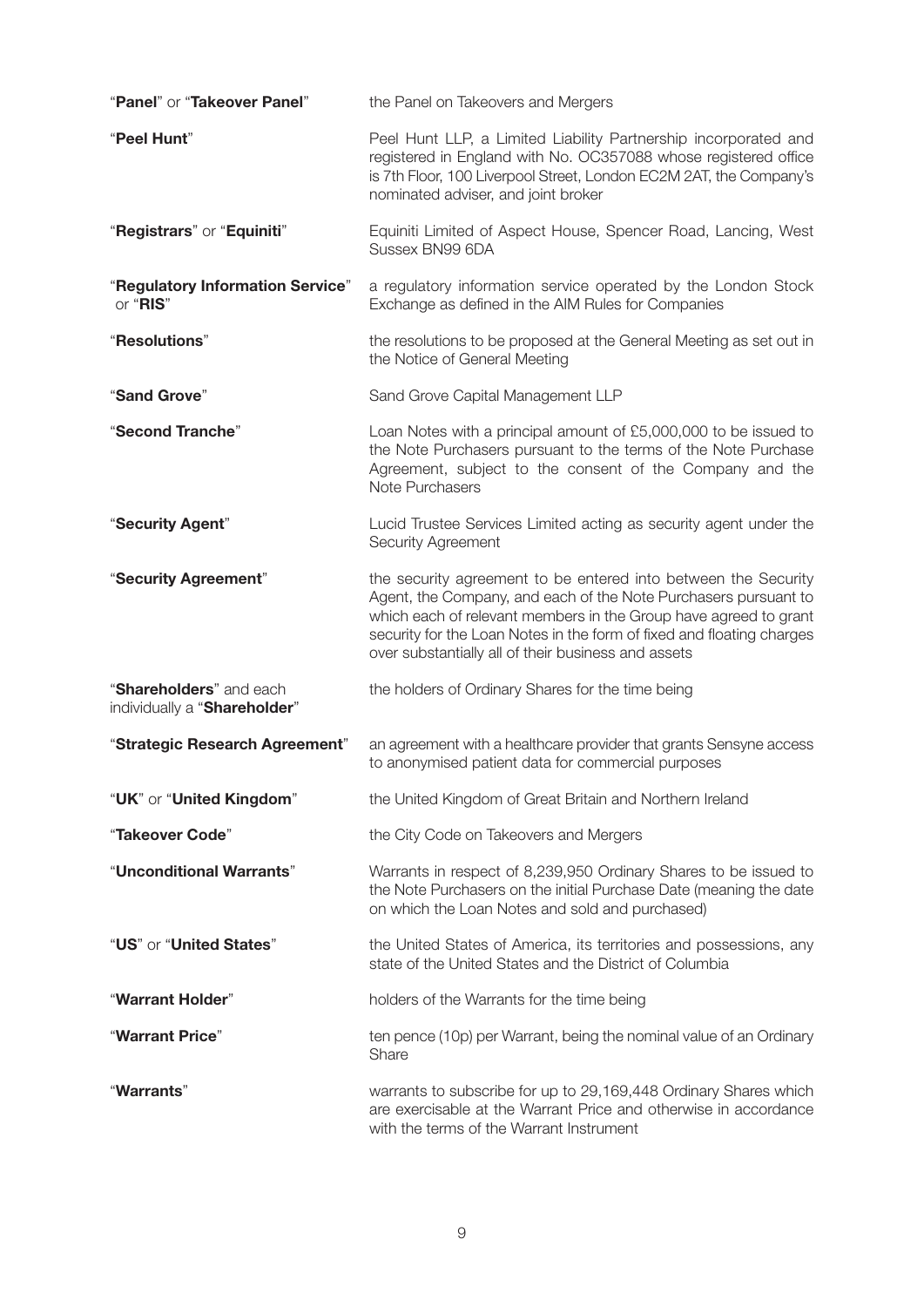| "Panel" or "Takeover Panel"                             | the Panel on Takeovers and Mergers                                                                                                                                                                                                                                                                                                    |
|---------------------------------------------------------|---------------------------------------------------------------------------------------------------------------------------------------------------------------------------------------------------------------------------------------------------------------------------------------------------------------------------------------|
| "Peel Hunt"                                             | Peel Hunt LLP, a Limited Liability Partnership incorporated and<br>registered in England with No. OC357088 whose registered office<br>is 7th Floor, 100 Liverpool Street, London EC2M 2AT, the Company's<br>nominated adviser, and joint broker                                                                                       |
| "Registrars" or "Equiniti"                              | Equiniti Limited of Aspect House, Spencer Road, Lancing, West<br>Sussex BN99 6DA                                                                                                                                                                                                                                                      |
| "Regulatory Information Service"<br>or "RIS"            | a regulatory information service operated by the London Stock<br>Exchange as defined in the AIM Rules for Companies                                                                                                                                                                                                                   |
| "Resolutions"                                           | the resolutions to be proposed at the General Meeting as set out in<br>the Notice of General Meeting                                                                                                                                                                                                                                  |
| "Sand Grove"                                            | Sand Grove Capital Management LLP                                                                                                                                                                                                                                                                                                     |
| "Second Tranche"                                        | Loan Notes with a principal amount of £5,000,000 to be issued to<br>the Note Purchasers pursuant to the terms of the Note Purchase<br>Agreement, subject to the consent of the Company and the<br>Note Purchasers                                                                                                                     |
| "Security Agent"                                        | Lucid Trustee Services Limited acting as security agent under the<br>Security Agreement                                                                                                                                                                                                                                               |
| "Security Agreement"                                    | the security agreement to be entered into between the Security<br>Agent, the Company, and each of the Note Purchasers pursuant to<br>which each of relevant members in the Group have agreed to grant<br>security for the Loan Notes in the form of fixed and floating charges<br>over substantially all of their business and assets |
| "Shareholders" and each<br>individually a "Shareholder" | the holders of Ordinary Shares for the time being                                                                                                                                                                                                                                                                                     |
| "Strategic Research Agreement"                          | an agreement with a healthcare provider that grants Sensyne access<br>to anonymised patient data for commercial purposes                                                                                                                                                                                                              |
| "UK" or "United Kingdom"                                | the United Kingdom of Great Britain and Northern Ireland                                                                                                                                                                                                                                                                              |
| "Takeover Code"                                         | the City Code on Takeovers and Mergers                                                                                                                                                                                                                                                                                                |
| "Unconditional Warrants"                                | Warrants in respect of 8,239,950 Ordinary Shares to be issued to<br>the Note Purchasers on the initial Purchase Date (meaning the date<br>on which the Loan Notes and sold and purchased)                                                                                                                                             |
| "US" or "United States"                                 | the United States of America, its territories and possessions, any<br>state of the United States and the District of Columbia                                                                                                                                                                                                         |
| "Warrant Holder"                                        | holders of the Warrants for the time being                                                                                                                                                                                                                                                                                            |
| "Warrant Price"                                         | ten pence (10p) per Warrant, being the nominal value of an Ordinary<br>Share                                                                                                                                                                                                                                                          |
| "Warrants"                                              | warrants to subscribe for up to 29,169,448 Ordinary Shares which<br>are exercisable at the Warrant Price and otherwise in accordance<br>with the terms of the Warrant Instrument                                                                                                                                                      |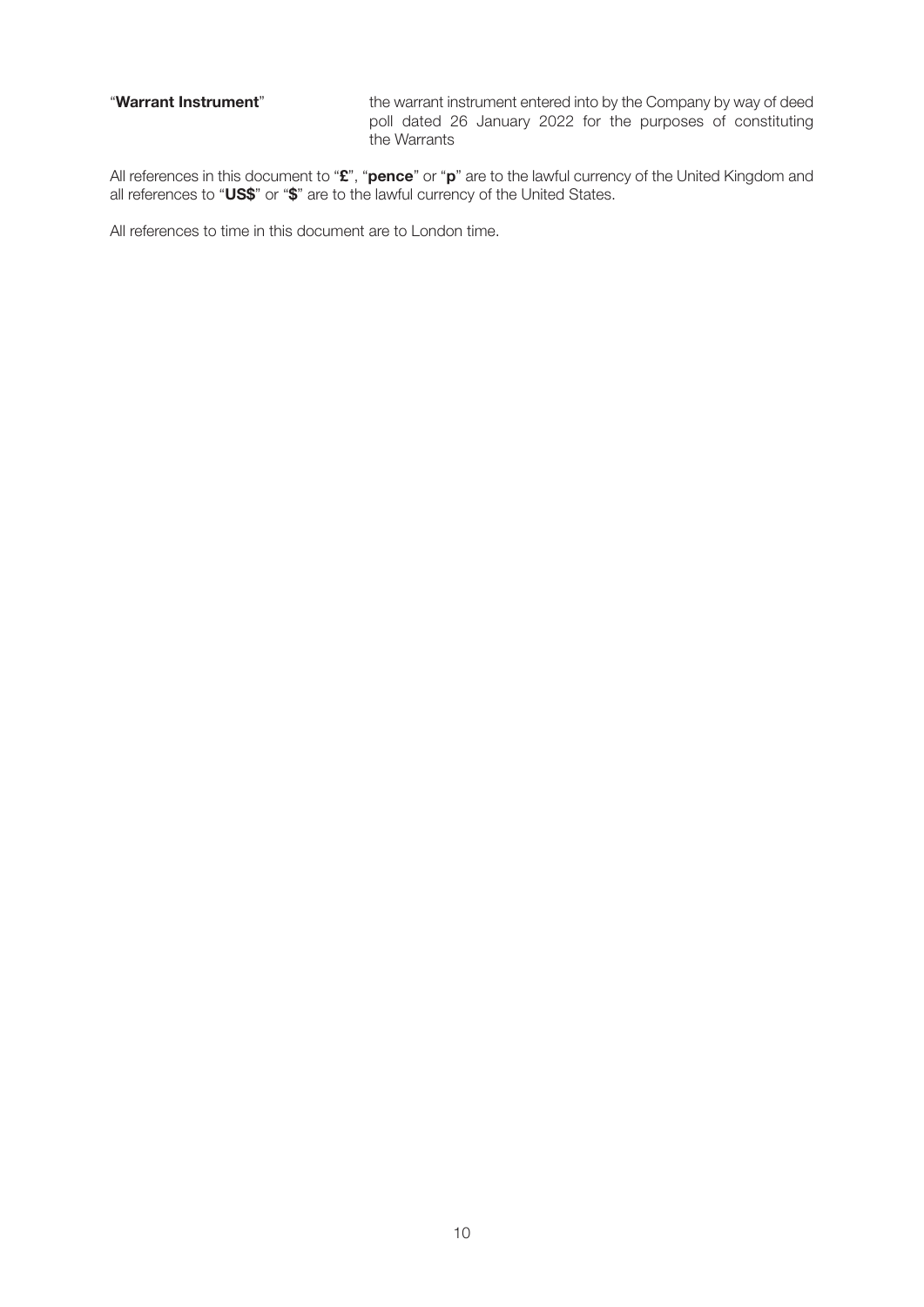"**Warrant Instrument**" the warrant instrument entered into by the Company by way of deed poll dated 26 January 2022 for the purposes of constituting the Warrants

All references in this document to "**£**", "**pence**" or "**p**" are to the lawful currency of the United Kingdom and all references to "**US\$**" or "**\$**" are to the lawful currency of the United States.

All references to time in this document are to London time.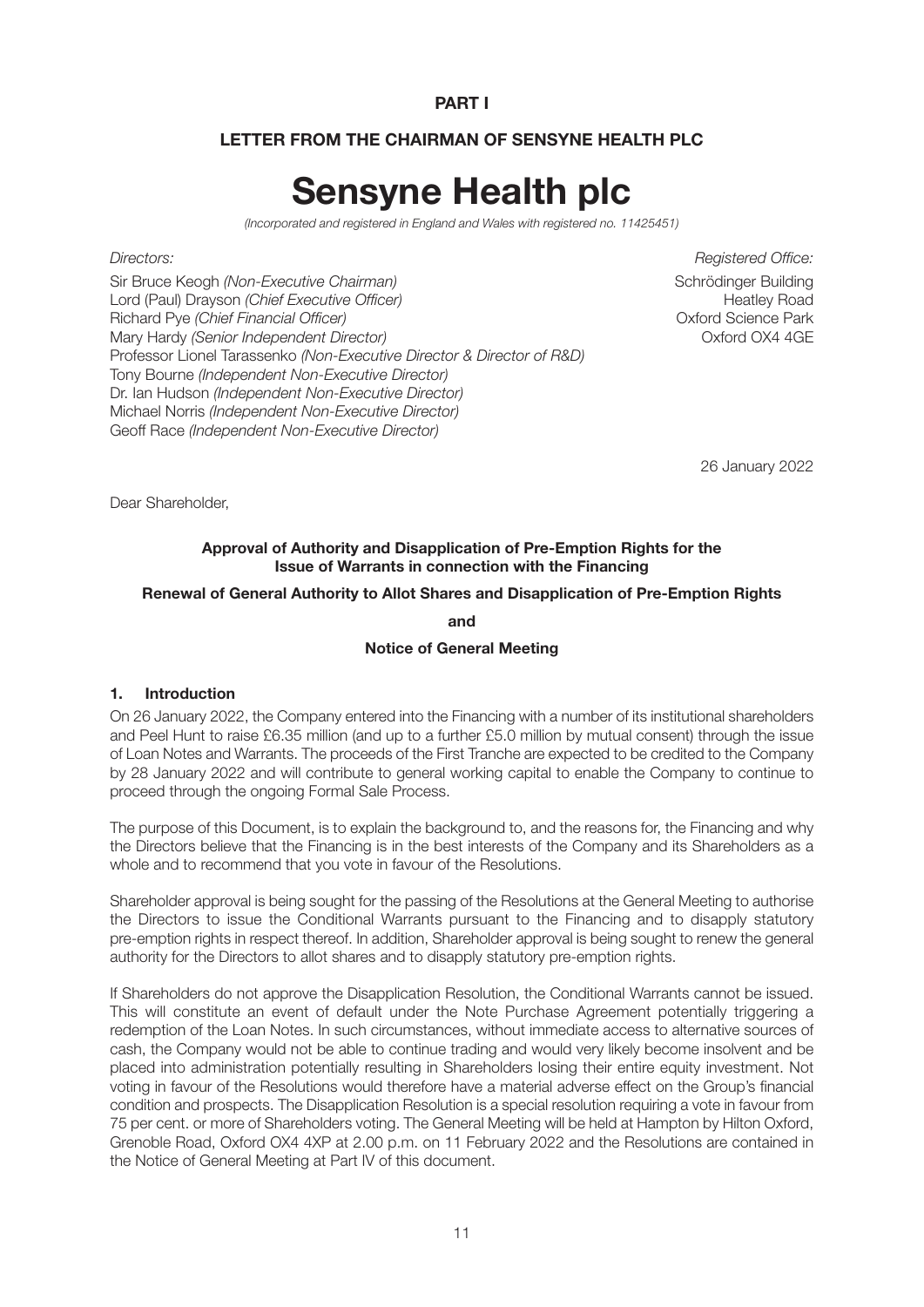#### **PART I**

#### **LETTER FROM THE CHAIRMAN OF SENSYNE HEALTH PLC**

# **Sensyne Health plc**

*(Incorporated and registered in England and Wales with registered no. 11425451)*

Sir Bruce Keogh *(Non-Executive Chairman)*<br>Lord (Paul) Drayson *(Chief Executive Officer)* Schrödinger Building Lord (Paul) Drayson *(Chief Executive Officer*) Lord (Paul) Drayson *(Chief Executive Officer)* Richard Pye *(Chief Financial Officer)* Oxford Science Park Mary Hardy *(Senior Independent Director)* Professor Lionel Tarassenko *(Non-Executive Director & Director of R&D)* Tony Bourne *(Independent Non-Executive Director)* Dr. Ian Hudson *(Independent Non-Executive Director)* Michael Norris *(Independent Non-Executive Director)* Geoff Race *(Independent Non-Executive Director)*

*Directors: Registered Office:*

26 January 2022

Dear Shareholder,

#### **Approval of Authority and Disapplication of Pre-Emption Rights for the Issue of Warrants in connection with the Financing**

#### **Renewal of General Authority to Allot Shares and Disapplication of Pre-Emption Rights**

#### **and**

#### **Notice of General Meeting**

#### **1. Introduction**

On 26 January 2022, the Company entered into the Financing with a number of its institutional shareholders and Peel Hunt to raise £6.35 million (and up to a further £5.0 million by mutual consent) through the issue of Loan Notes and Warrants. The proceeds of the First Tranche are expected to be credited to the Company by 28 January 2022 and will contribute to general working capital to enable the Company to continue to proceed through the ongoing Formal Sale Process.

The purpose of this Document, is to explain the background to, and the reasons for, the Financing and why the Directors believe that the Financing is in the best interests of the Company and its Shareholders as a whole and to recommend that you vote in favour of the Resolutions.

Shareholder approval is being sought for the passing of the Resolutions at the General Meeting to authorise the Directors to issue the Conditional Warrants pursuant to the Financing and to disapply statutory pre-emption rights in respect thereof. In addition, Shareholder approval is being sought to renew the general authority for the Directors to allot shares and to disapply statutory pre-emption rights.

If Shareholders do not approve the Disapplication Resolution, the Conditional Warrants cannot be issued. This will constitute an event of default under the Note Purchase Agreement potentially triggering a redemption of the Loan Notes. In such circumstances, without immediate access to alternative sources of cash, the Company would not be able to continue trading and would very likely become insolvent and be placed into administration potentially resulting in Shareholders losing their entire equity investment. Not voting in favour of the Resolutions would therefore have a material adverse effect on the Group's financial condition and prospects. The Disapplication Resolution is a special resolution requiring a vote in favour from 75 per cent. or more of Shareholders voting. The General Meeting will be held at Hampton by Hilton Oxford, Grenoble Road, Oxford OX4 4XP at 2.00 p.m. on 11 February 2022 and the Resolutions are contained in the Notice of General Meeting at Part IV of this document.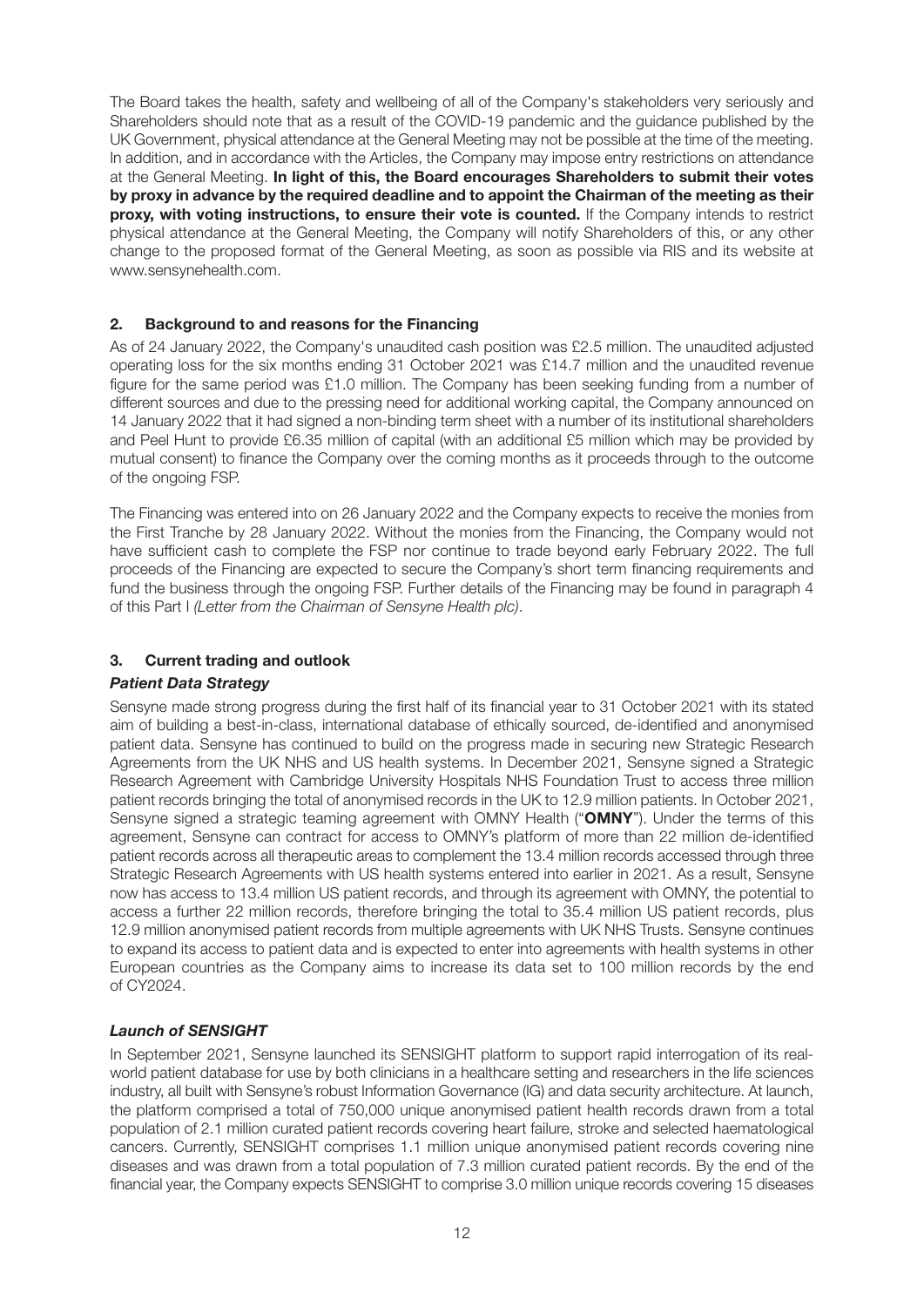The Board takes the health, safety and wellbeing of all of the Company's stakeholders very seriously and Shareholders should note that as a result of the COVID-19 pandemic and the guidance published by the UK Government, physical attendance at the General Meeting may not be possible at the time of the meeting. In addition, and in accordance with the Articles, the Company may impose entry restrictions on attendance at the General Meeting. **In light of this, the Board encourages Shareholders to submit their votes by proxy in advance by the required deadline and to appoint the Chairman of the meeting as their proxy, with voting instructions, to ensure their vote is counted.** If the Company intends to restrict physical attendance at the General Meeting, the Company will notify Shareholders of this, or any other change to the proposed format of the General Meeting, as soon as possible via RIS and its website at www.sensynehealth.com.

#### **2. Background to and reasons for the Financing**

As of 24 January 2022, the Company's unaudited cash position was £2.5 million. The unaudited adjusted operating loss for the six months ending 31 October 2021 was £14.7 million and the unaudited revenue figure for the same period was £1.0 million. The Company has been seeking funding from a number of different sources and due to the pressing need for additional working capital, the Company announced on 14 January 2022 that it had signed a non-binding term sheet with a number of its institutional shareholders and Peel Hunt to provide £6.35 million of capital (with an additional £5 million which may be provided by mutual consent) to finance the Company over the coming months as it proceeds through to the outcome of the ongoing FSP.

The Financing was entered into on 26 January 2022 and the Company expects to receive the monies from the First Tranche by 28 January 2022. Without the monies from the Financing, the Company would not have sufficient cash to complete the FSP nor continue to trade beyond early February 2022. The full proceeds of the Financing are expected to secure the Company's short term financing requirements and fund the business through the ongoing FSP. Further details of the Financing may be found in paragraph 4 of this Part I *(Letter from the Chairman of Sensyne Health plc)*.

#### **3. Current trading and outlook**

#### *Patient Data Strategy*

Sensyne made strong progress during the first half of its financial year to 31 October 2021 with its stated aim of building a best-in-class, international database of ethically sourced, de-identified and anonymised patient data. Sensyne has continued to build on the progress made in securing new Strategic Research Agreements from the UK NHS and US health systems. In December 2021, Sensyne signed a Strategic Research Agreement with Cambridge University Hospitals NHS Foundation Trust to access three million patient records bringing the total of anonymised records in the UK to 12.9 million patients. In October 2021, Sensyne signed a strategic teaming agreement with OMNY Health ("**OMNY**"). Under the terms of this agreement, Sensyne can contract for access to OMNY's platform of more than 22 million de-identified patient records across all therapeutic areas to complement the 13.4 million records accessed through three Strategic Research Agreements with US health systems entered into earlier in 2021. As a result, Sensyne now has access to 13.4 million US patient records, and through its agreement with OMNY, the potential to access a further 22 million records, therefore bringing the total to 35.4 million US patient records, plus 12.9 million anonymised patient records from multiple agreements with UK NHS Trusts. Sensyne continues to expand its access to patient data and is expected to enter into agreements with health systems in other European countries as the Company aims to increase its data set to 100 million records by the end of CY2024.

#### *Launch of SENSIGHT*

In September 2021, Sensyne launched its SENSIGHT platform to support rapid interrogation of its realworld patient database for use by both clinicians in a healthcare setting and researchers in the life sciences industry, all built with Sensyne's robust Information Governance (IG) and data security architecture. At launch, the platform comprised a total of 750,000 unique anonymised patient health records drawn from a total population of 2.1 million curated patient records covering heart failure, stroke and selected haematological cancers. Currently, SENSIGHT comprises 1.1 million unique anonymised patient records covering nine diseases and was drawn from a total population of 7.3 million curated patient records. By the end of the financial year, the Company expects SENSIGHT to comprise 3.0 million unique records covering 15 diseases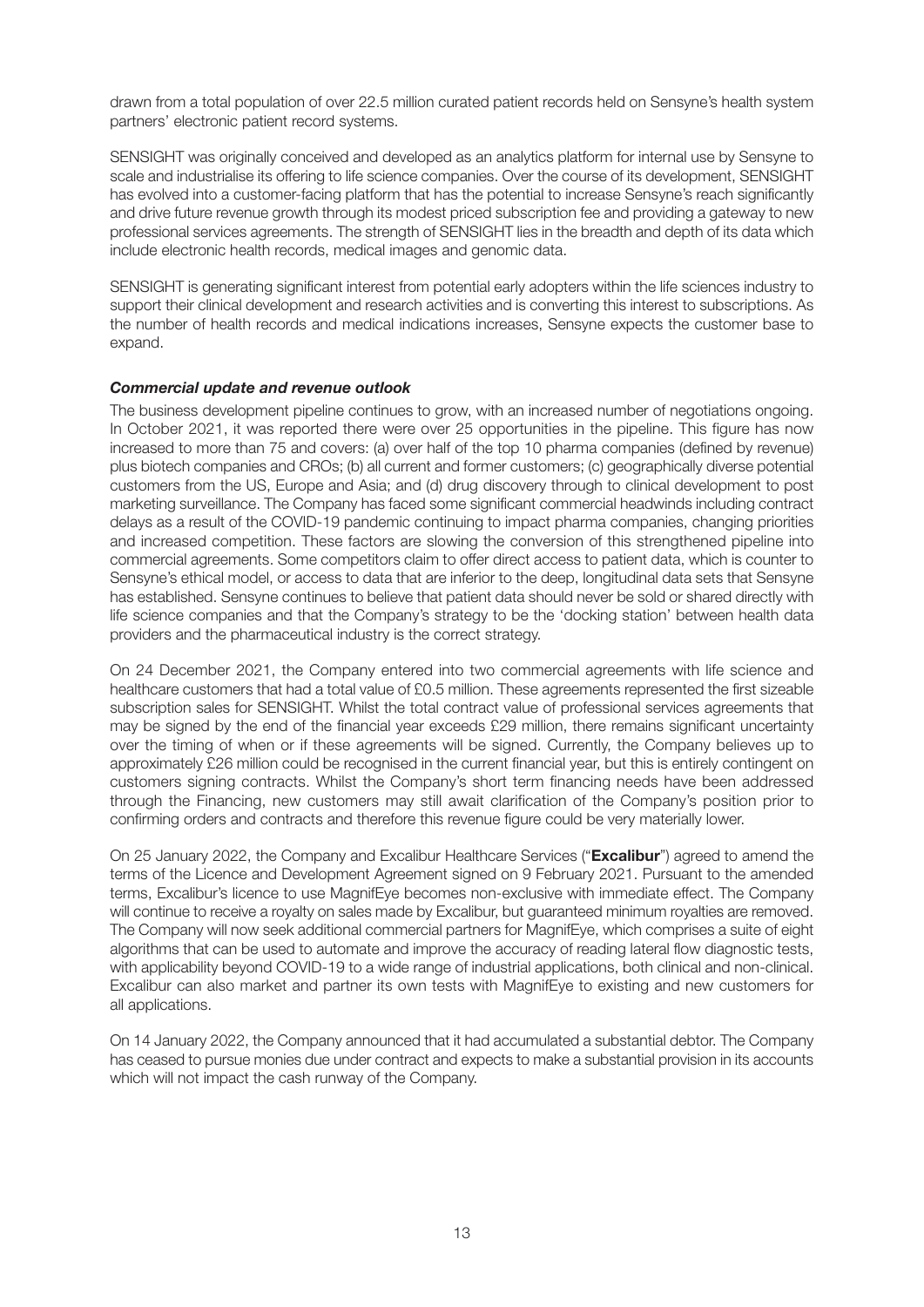drawn from a total population of over 22.5 million curated patient records held on Sensyne's health system partners' electronic patient record systems.

SENSIGHT was originally conceived and developed as an analytics platform for internal use by Sensyne to scale and industrialise its offering to life science companies. Over the course of its development, SENSIGHT has evolved into a customer-facing platform that has the potential to increase Sensyne's reach significantly and drive future revenue growth through its modest priced subscription fee and providing a gateway to new professional services agreements. The strength of SENSIGHT lies in the breadth and depth of its data which include electronic health records, medical images and genomic data.

SENSIGHT is generating significant interest from potential early adopters within the life sciences industry to support their clinical development and research activities and is converting this interest to subscriptions. As the number of health records and medical indications increases, Sensyne expects the customer base to expand.

#### *Commercial update and revenue outlook*

The business development pipeline continues to grow, with an increased number of negotiations ongoing. In October 2021, it was reported there were over 25 opportunities in the pipeline. This figure has now increased to more than 75 and covers: (a) over half of the top 10 pharma companies (defined by revenue) plus biotech companies and CROs; (b) all current and former customers; (c) geographically diverse potential customers from the US, Europe and Asia; and (d) drug discovery through to clinical development to post marketing surveillance. The Company has faced some significant commercial headwinds including contract delays as a result of the COVID-19 pandemic continuing to impact pharma companies, changing priorities and increased competition. These factors are slowing the conversion of this strengthened pipeline into commercial agreements. Some competitors claim to offer direct access to patient data, which is counter to Sensyne's ethical model, or access to data that are inferior to the deep, longitudinal data sets that Sensyne has established. Sensyne continues to believe that patient data should never be sold or shared directly with life science companies and that the Company's strategy to be the 'docking station' between health data providers and the pharmaceutical industry is the correct strategy.

On 24 December 2021, the Company entered into two commercial agreements with life science and healthcare customers that had a total value of £0.5 million. These agreements represented the first sizeable subscription sales for SENSIGHT. Whilst the total contract value of professional services agreements that may be signed by the end of the financial year exceeds £29 million, there remains significant uncertainty over the timing of when or if these agreements will be signed. Currently, the Company believes up to approximately £26 million could be recognised in the current financial year, but this is entirely contingent on customers signing contracts. Whilst the Company's short term financing needs have been addressed through the Financing, new customers may still await clarification of the Company's position prior to confirming orders and contracts and therefore this revenue figure could be very materially lower.

On 25 January 2022, the Company and Excalibur Healthcare Services ("**Excalibur**") agreed to amend the terms of the Licence and Development Agreement signed on 9 February 2021. Pursuant to the amended terms, Excalibur's licence to use MagnifEye becomes non-exclusive with immediate effect. The Company will continue to receive a royalty on sales made by Excalibur, but guaranteed minimum royalties are removed. The Company will now seek additional commercial partners for MagnifEye, which comprises a suite of eight algorithms that can be used to automate and improve the accuracy of reading lateral flow diagnostic tests, with applicability beyond COVID-19 to a wide range of industrial applications, both clinical and non-clinical. Excalibur can also market and partner its own tests with MagnifEye to existing and new customers for all applications.

On 14 January 2022, the Company announced that it had accumulated a substantial debtor. The Company has ceased to pursue monies due under contract and expects to make a substantial provision in its accounts which will not impact the cash runway of the Company.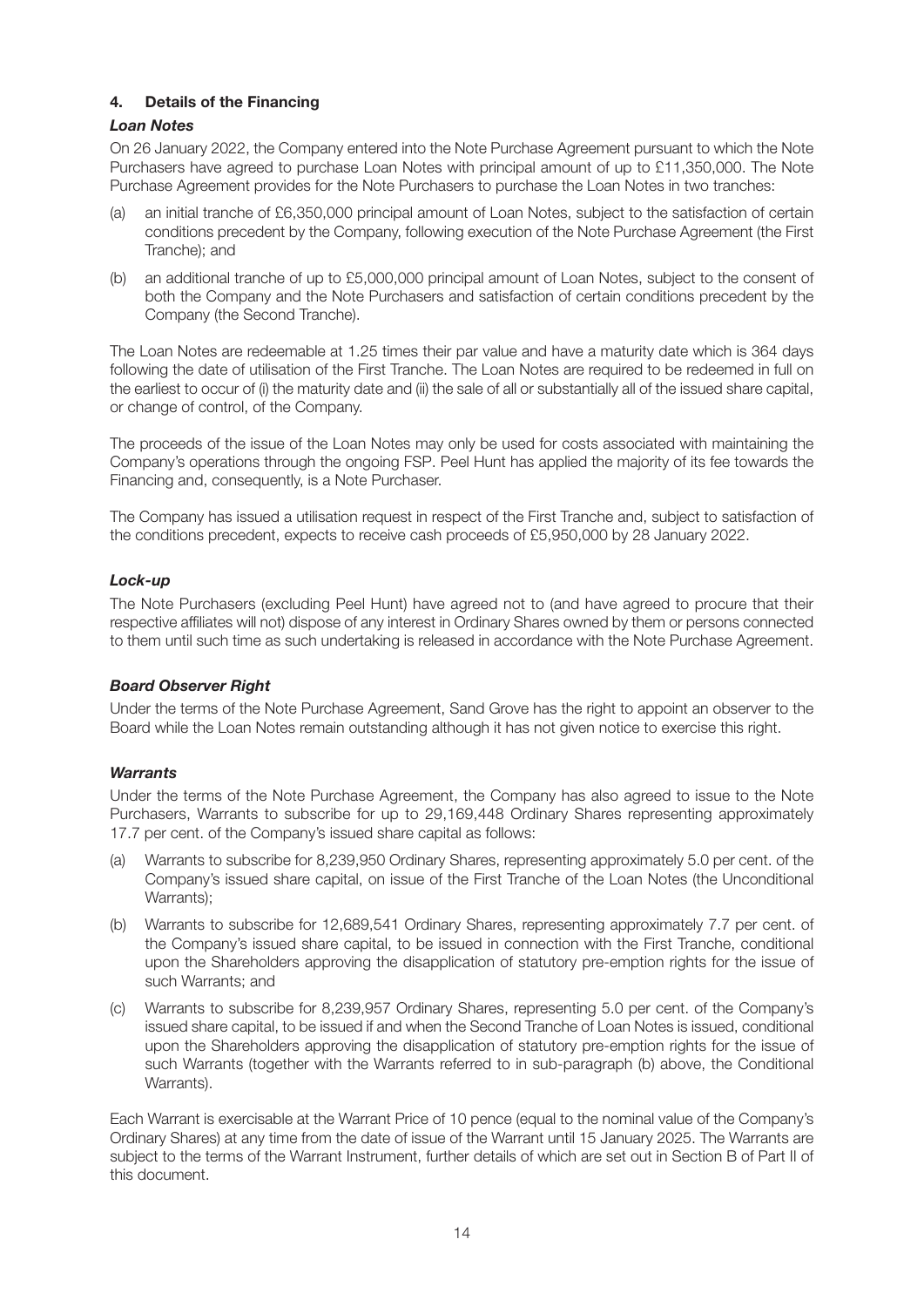#### **4. Details of the Financing**

#### *Loan Notes*

On 26 January 2022, the Company entered into the Note Purchase Agreement pursuant to which the Note Purchasers have agreed to purchase Loan Notes with principal amount of up to £11,350,000. The Note Purchase Agreement provides for the Note Purchasers to purchase the Loan Notes in two tranches:

- (a) an initial tranche of £6,350,000 principal amount of Loan Notes, subject to the satisfaction of certain conditions precedent by the Company, following execution of the Note Purchase Agreement (the First Tranche); and
- (b) an additional tranche of up to £5,000,000 principal amount of Loan Notes, subject to the consent of both the Company and the Note Purchasers and satisfaction of certain conditions precedent by the Company (the Second Tranche).

The Loan Notes are redeemable at 1.25 times their par value and have a maturity date which is 364 days following the date of utilisation of the First Tranche. The Loan Notes are required to be redeemed in full on the earliest to occur of (i) the maturity date and (ii) the sale of all or substantially all of the issued share capital, or change of control, of the Company.

The proceeds of the issue of the Loan Notes may only be used for costs associated with maintaining the Company's operations through the ongoing FSP. Peel Hunt has applied the majority of its fee towards the Financing and, consequently, is a Note Purchaser.

The Company has issued a utilisation request in respect of the First Tranche and, subject to satisfaction of the conditions precedent, expects to receive cash proceeds of £5,950,000 by 28 January 2022.

#### *Lock-up*

The Note Purchasers (excluding Peel Hunt) have agreed not to (and have agreed to procure that their respective affiliates will not) dispose of any interest in Ordinary Shares owned by them or persons connected to them until such time as such undertaking is released in accordance with the Note Purchase Agreement.

#### *Board Observer Right*

Under the terms of the Note Purchase Agreement, Sand Grove has the right to appoint an observer to the Board while the Loan Notes remain outstanding although it has not given notice to exercise this right.

#### *Warrants*

Under the terms of the Note Purchase Agreement, the Company has also agreed to issue to the Note Purchasers, Warrants to subscribe for up to 29,169,448 Ordinary Shares representing approximately 17.7 per cent. of the Company's issued share capital as follows:

- (a) Warrants to subscribe for 8,239,950 Ordinary Shares, representing approximately 5.0 per cent. of the Company's issued share capital, on issue of the First Tranche of the Loan Notes (the Unconditional Warrants);
- (b) Warrants to subscribe for 12,689,541 Ordinary Shares, representing approximately 7.7 per cent. of the Company's issued share capital, to be issued in connection with the First Tranche, conditional upon the Shareholders approving the disapplication of statutory pre-emption rights for the issue of such Warrants; and
- (c) Warrants to subscribe for 8,239,957 Ordinary Shares, representing 5.0 per cent. of the Company's issued share capital, to be issued if and when the Second Tranche of Loan Notes is issued, conditional upon the Shareholders approving the disapplication of statutory pre-emption rights for the issue of such Warrants (together with the Warrants referred to in sub-paragraph (b) above, the Conditional Warrants).

Each Warrant is exercisable at the Warrant Price of 10 pence (equal to the nominal value of the Company's Ordinary Shares) at any time from the date of issue of the Warrant until 15 January 2025. The Warrants are subject to the terms of the Warrant Instrument, further details of which are set out in Section B of Part II of this document.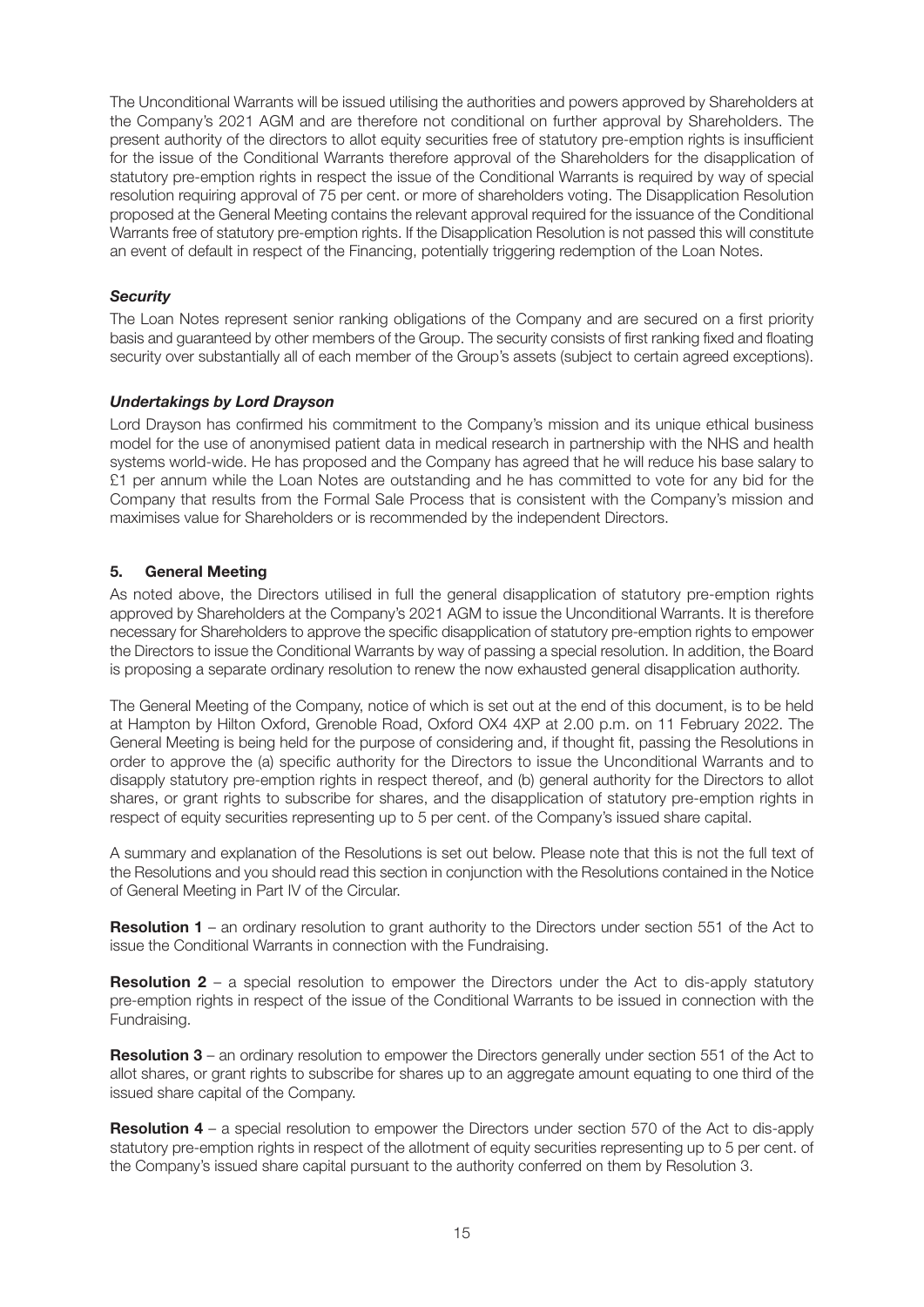The Unconditional Warrants will be issued utilising the authorities and powers approved by Shareholders at the Company's 2021 AGM and are therefore not conditional on further approval by Shareholders. The present authority of the directors to allot equity securities free of statutory pre-emption rights is insufficient for the issue of the Conditional Warrants therefore approval of the Shareholders for the disapplication of statutory pre-emption rights in respect the issue of the Conditional Warrants is required by way of special resolution requiring approval of 75 per cent. or more of shareholders voting. The Disapplication Resolution proposed at the General Meeting contains the relevant approval required for the issuance of the Conditional Warrants free of statutory pre-emption rights. If the Disapplication Resolution is not passed this will constitute an event of default in respect of the Financing, potentially triggering redemption of the Loan Notes.

#### *Security*

The Loan Notes represent senior ranking obligations of the Company and are secured on a first priority basis and guaranteed by other members of the Group. The security consists of first ranking fixed and floating security over substantially all of each member of the Group's assets (subject to certain agreed exceptions).

#### *Undertakings by Lord Drayson*

Lord Drayson has confirmed his commitment to the Company's mission and its unique ethical business model for the use of anonymised patient data in medical research in partnership with the NHS and health systems world-wide. He has proposed and the Company has agreed that he will reduce his base salary to £1 per annum while the Loan Notes are outstanding and he has committed to vote for any bid for the Company that results from the Formal Sale Process that is consistent with the Company's mission and maximises value for Shareholders or is recommended by the independent Directors.

#### **5. General Meeting**

As noted above, the Directors utilised in full the general disapplication of statutory pre-emption rights approved by Shareholders at the Company's 2021 AGM to issue the Unconditional Warrants. It is therefore necessary for Shareholders to approve the specific disapplication of statutory pre-emption rights to empower the Directors to issue the Conditional Warrants by way of passing a special resolution. In addition, the Board is proposing a separate ordinary resolution to renew the now exhausted general disapplication authority.

The General Meeting of the Company, notice of which is set out at the end of this document, is to be held at Hampton by Hilton Oxford, Grenoble Road, Oxford OX4 4XP at 2.00 p.m. on 11 February 2022. The General Meeting is being held for the purpose of considering and, if thought fit, passing the Resolutions in order to approve the (a) specific authority for the Directors to issue the Unconditional Warrants and to disapply statutory pre-emption rights in respect thereof, and (b) general authority for the Directors to allot shares, or grant rights to subscribe for shares, and the disapplication of statutory pre-emption rights in respect of equity securities representing up to 5 per cent. of the Company's issued share capital.

A summary and explanation of the Resolutions is set out below. Please note that this is not the full text of the Resolutions and you should read this section in conjunction with the Resolutions contained in the Notice of General Meeting in Part IV of the Circular.

**Resolution 1** – an ordinary resolution to grant authority to the Directors under section 551 of the Act to issue the Conditional Warrants in connection with the Fundraising.

**Resolution 2** – a special resolution to empower the Directors under the Act to dis-apply statutory pre-emption rights in respect of the issue of the Conditional Warrants to be issued in connection with the Fundraising.

**Resolution 3** – an ordinary resolution to empower the Directors generally under section 551 of the Act to allot shares, or grant rights to subscribe for shares up to an aggregate amount equating to one third of the issued share capital of the Company.

**Resolution 4** – a special resolution to empower the Directors under section 570 of the Act to dis-apply statutory pre-emption rights in respect of the allotment of equity securities representing up to 5 per cent. of the Company's issued share capital pursuant to the authority conferred on them by Resolution 3.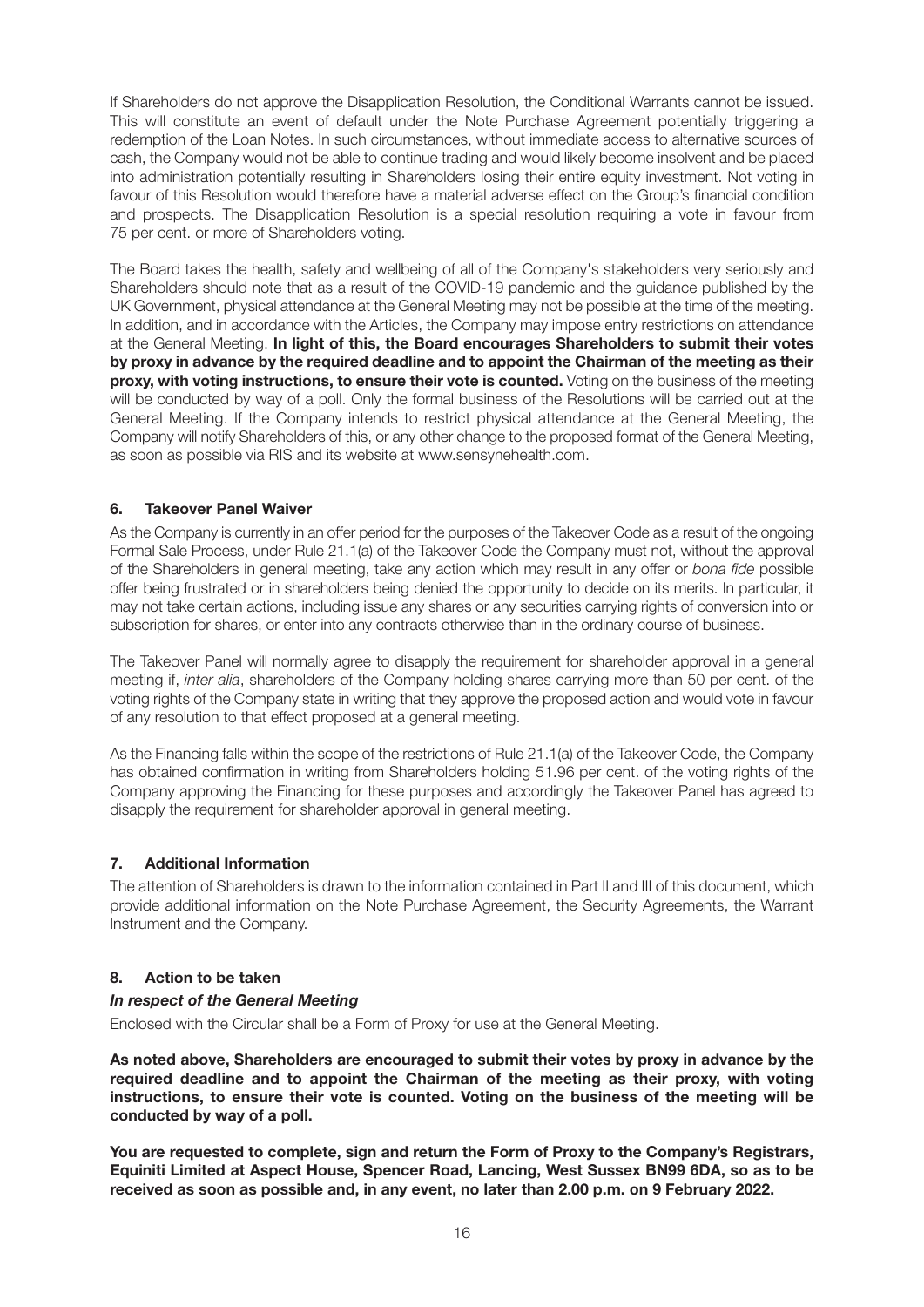If Shareholders do not approve the Disapplication Resolution, the Conditional Warrants cannot be issued. This will constitute an event of default under the Note Purchase Agreement potentially triggering a redemption of the Loan Notes. In such circumstances, without immediate access to alternative sources of cash, the Company would not be able to continue trading and would likely become insolvent and be placed into administration potentially resulting in Shareholders losing their entire equity investment. Not voting in favour of this Resolution would therefore have a material adverse effect on the Group's financial condition and prospects. The Disapplication Resolution is a special resolution requiring a vote in favour from 75 per cent. or more of Shareholders voting.

The Board takes the health, safety and wellbeing of all of the Company's stakeholders very seriously and Shareholders should note that as a result of the COVID-19 pandemic and the guidance published by the UK Government, physical attendance at the General Meeting may not be possible at the time of the meeting. In addition, and in accordance with the Articles, the Company may impose entry restrictions on attendance at the General Meeting. **In light of this, the Board encourages Shareholders to submit their votes by proxy in advance by the required deadline and to appoint the Chairman of the meeting as their proxy, with voting instructions, to ensure their vote is counted.** Voting on the business of the meeting will be conducted by way of a poll. Only the formal business of the Resolutions will be carried out at the General Meeting. If the Company intends to restrict physical attendance at the General Meeting, the Company will notify Shareholders of this, or any other change to the proposed format of the General Meeting, as soon as possible via RIS and its website at www.sensynehealth.com.

#### **6. Takeover Panel Waiver**

As the Company is currently in an offer period for the purposes of the Takeover Code as a result of the ongoing Formal Sale Process, under Rule 21.1(a) of the Takeover Code the Company must not, without the approval of the Shareholders in general meeting, take any action which may result in any offer or *bona fide* possible offer being frustrated or in shareholders being denied the opportunity to decide on its merits. In particular, it may not take certain actions, including issue any shares or any securities carrying rights of conversion into or subscription for shares, or enter into any contracts otherwise than in the ordinary course of business.

The Takeover Panel will normally agree to disapply the requirement for shareholder approval in a general meeting if, *inter alia*, shareholders of the Company holding shares carrying more than 50 per cent. of the voting rights of the Company state in writing that they approve the proposed action and would vote in favour of any resolution to that effect proposed at a general meeting.

As the Financing falls within the scope of the restrictions of Rule 21.1(a) of the Takeover Code, the Company has obtained confirmation in writing from Shareholders holding 51.96 per cent. of the voting rights of the Company approving the Financing for these purposes and accordingly the Takeover Panel has agreed to disapply the requirement for shareholder approval in general meeting.

#### **7. Additional Information**

The attention of Shareholders is drawn to the information contained in Part II and III of this document, which provide additional information on the Note Purchase Agreement, the Security Agreements, the Warrant Instrument and the Company.

#### **8. Action to be taken**

#### *In respect of the General Meeting*

Enclosed with the Circular shall be a Form of Proxy for use at the General Meeting.

**As noted above, Shareholders are encouraged to submit their votes by proxy in advance by the required deadline and to appoint the Chairman of the meeting as their proxy, with voting instructions, to ensure their vote is counted. Voting on the business of the meeting will be conducted by way of a poll.**

**You are requested to complete, sign and return the Form of Proxy to the Company's Registrars, Equiniti Limited at Aspect House, Spencer Road, Lancing, West Sussex BN99 6DA, so as to be received as soon as possible and, in any event, no later than 2.00 p.m. on 9 February 2022.**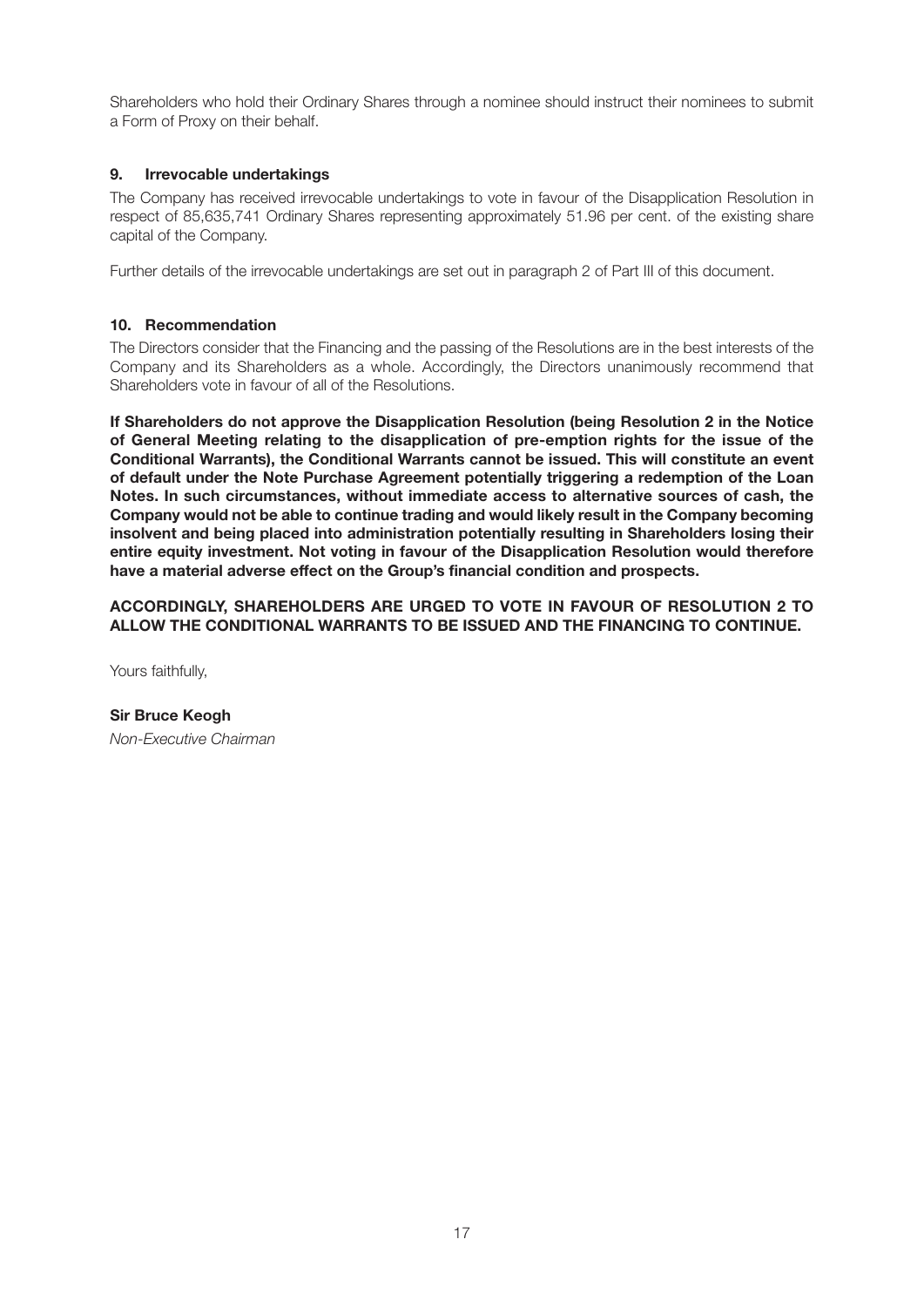Shareholders who hold their Ordinary Shares through a nominee should instruct their nominees to submit a Form of Proxy on their behalf.

#### **9. Irrevocable undertakings**

The Company has received irrevocable undertakings to vote in favour of the Disapplication Resolution in respect of 85,635,741 Ordinary Shares representing approximately 51.96 per cent. of the existing share capital of the Company.

Further details of the irrevocable undertakings are set out in paragraph 2 of Part III of this document.

#### **10. Recommendation**

The Directors consider that the Financing and the passing of the Resolutions are in the best interests of the Company and its Shareholders as a whole. Accordingly, the Directors unanimously recommend that Shareholders vote in favour of all of the Resolutions.

**If Shareholders do not approve the Disapplication Resolution (being Resolution 2 in the Notice of General Meeting relating to the disapplication of pre-emption rights for the issue of the Conditional Warrants), the Conditional Warrants cannot be issued. This will constitute an event of default under the Note Purchase Agreement potentially triggering a redemption of the Loan Notes. In such circumstances, without immediate access to alternative sources of cash, the Company would not be able to continue trading and would likely result in the Company becoming insolvent and being placed into administration potentially resulting in Shareholders losing their entire equity investment. Not voting in favour of the Disapplication Resolution would therefore have a material adverse effect on the Group's financial condition and prospects.**

**ACCORDINGLY, SHAREHOLDERS ARE URGED TO VOTE IN FAVOUR OF RESOLUTION 2 TO ALLOW THE CONDITIONAL WARRANTS TO BE ISSUED AND THE FINANCING TO CONTINUE.**

Yours faithfully,

**Sir Bruce Keogh** *Non-Executive Chairman*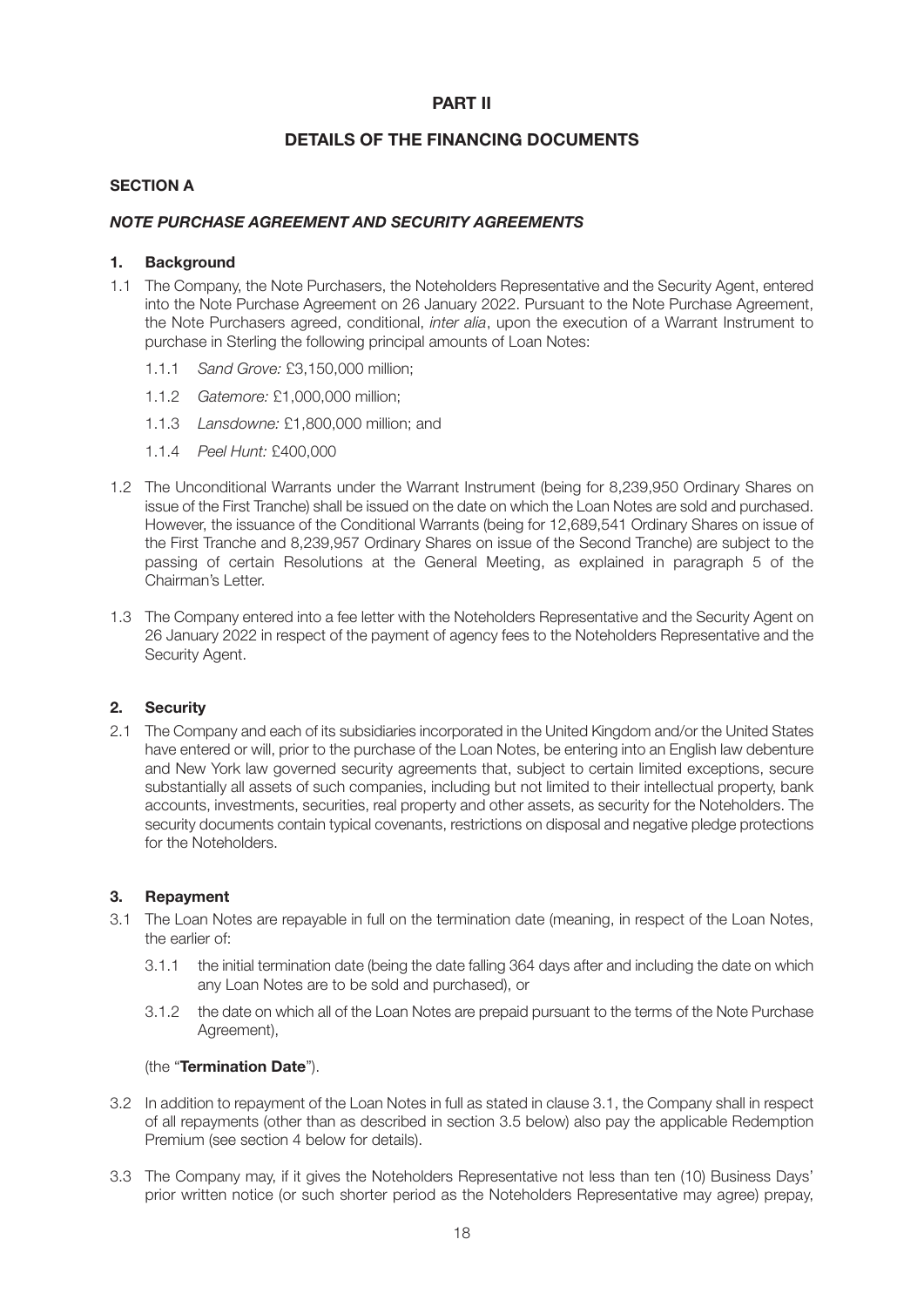#### **PART II**

#### **DETAILS OF THE FINANCING DOCUMENTS**

#### **SECTION A**

#### *NOTE PURCHASE AGREEMENT AND SECURITY AGREEMENTS*

#### **1. Background**

- 1.1 The Company, the Note Purchasers, the Noteholders Representative and the Security Agent, entered into the Note Purchase Agreement on 26 January 2022. Pursuant to the Note Purchase Agreement, the Note Purchasers agreed, conditional, *inter alia*, upon the execution of a Warrant Instrument to purchase in Sterling the following principal amounts of Loan Notes:
	- 1.1.1 *Sand Grove:* £3,150,000 million;
	- 1.1.2 *Gatemore:* £1,000,000 million;
	- 1.1.3 *Lansdowne:* £1,800,000 million; and
	- 1.1.4 *Peel Hunt:* £400,000
- 1.2 The Unconditional Warrants under the Warrant Instrument (being for 8,239,950 Ordinary Shares on issue of the First Tranche) shall be issued on the date on which the Loan Notes are sold and purchased. However, the issuance of the Conditional Warrants (being for 12,689,541 Ordinary Shares on issue of the First Tranche and 8,239,957 Ordinary Shares on issue of the Second Tranche) are subject to the passing of certain Resolutions at the General Meeting, as explained in paragraph 5 of the Chairman's Letter.
- 1.3 The Company entered into a fee letter with the Noteholders Representative and the Security Agent on 26 January 2022 in respect of the payment of agency fees to the Noteholders Representative and the Security Agent.

#### **2. Security**

2.1 The Company and each of its subsidiaries incorporated in the United Kingdom and/or the United States have entered or will, prior to the purchase of the Loan Notes, be entering into an English law debenture and New York law governed security agreements that, subject to certain limited exceptions, secure substantially all assets of such companies, including but not limited to their intellectual property, bank accounts, investments, securities, real property and other assets, as security for the Noteholders. The security documents contain typical covenants, restrictions on disposal and negative pledge protections for the Noteholders.

#### **3. Repayment**

- 3.1 The Loan Notes are repayable in full on the termination date (meaning, in respect of the Loan Notes, the earlier of:
	- 3.1.1 the initial termination date (being the date falling 364 days after and including the date on which any Loan Notes are to be sold and purchased), or
	- 3.1.2 the date on which all of the Loan Notes are prepaid pursuant to the terms of the Note Purchase Agreement),

#### (the "**Termination Date**").

- 3.2 In addition to repayment of the Loan Notes in full as stated in clause 3.1, the Company shall in respect of all repayments (other than as described in section 3.5 below) also pay the applicable Redemption Premium (see section 4 below for details).
- 3.3 The Company may, if it gives the Noteholders Representative not less than ten (10) Business Days' prior written notice (or such shorter period as the Noteholders Representative may agree) prepay,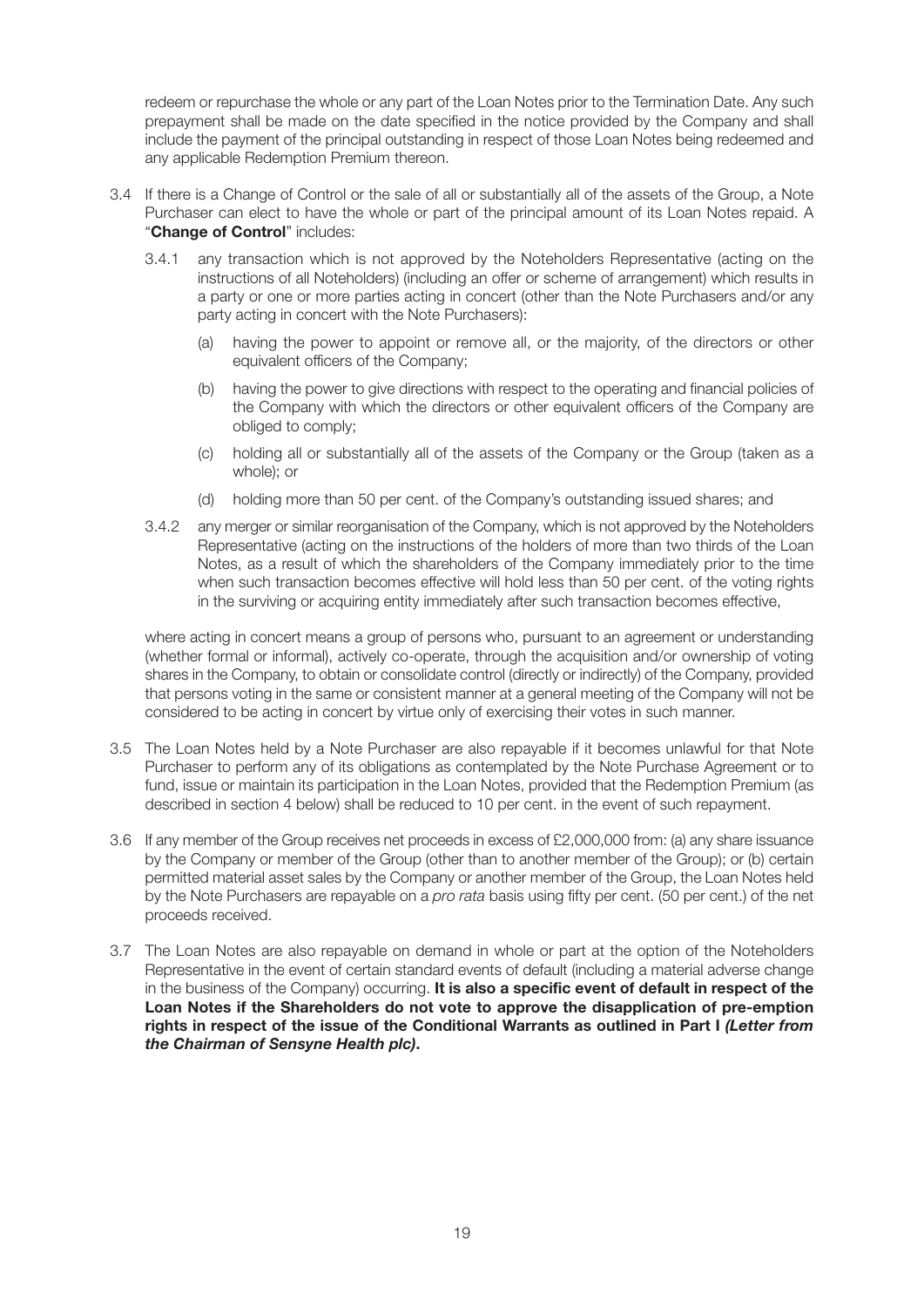redeem or repurchase the whole or any part of the Loan Notes prior to the Termination Date. Any such prepayment shall be made on the date specified in the notice provided by the Company and shall include the payment of the principal outstanding in respect of those Loan Notes being redeemed and any applicable Redemption Premium thereon.

- 3.4 If there is a Change of Control or the sale of all or substantially all of the assets of the Group, a Note Purchaser can elect to have the whole or part of the principal amount of its Loan Notes repaid. A "**Change of Control**" includes:
	- 3.4.1 any transaction which is not approved by the Noteholders Representative (acting on the instructions of all Noteholders) (including an offer or scheme of arrangement) which results in a party or one or more parties acting in concert (other than the Note Purchasers and/or any party acting in concert with the Note Purchasers):
		- (a) having the power to appoint or remove all, or the majority, of the directors or other equivalent officers of the Company;
		- (b) having the power to give directions with respect to the operating and financial policies of the Company with which the directors or other equivalent officers of the Company are obliged to comply;
		- (c) holding all or substantially all of the assets of the Company or the Group (taken as a whole); or
		- (d) holding more than 50 per cent. of the Company's outstanding issued shares; and
	- 3.4.2 any merger or similar reorganisation of the Company, which is not approved by the Noteholders Representative (acting on the instructions of the holders of more than two thirds of the Loan Notes, as a result of which the shareholders of the Company immediately prior to the time when such transaction becomes effective will hold less than 50 per cent. of the voting rights in the surviving or acquiring entity immediately after such transaction becomes effective,

where acting in concert means a group of persons who, pursuant to an agreement or understanding (whether formal or informal), actively co-operate, through the acquisition and/or ownership of voting shares in the Company, to obtain or consolidate control (directly or indirectly) of the Company, provided that persons voting in the same or consistent manner at a general meeting of the Company will not be considered to be acting in concert by virtue only of exercising their votes in such manner.

- 3.5 The Loan Notes held by a Note Purchaser are also repayable if it becomes unlawful for that Note Purchaser to perform any of its obligations as contemplated by the Note Purchase Agreement or to fund, issue or maintain its participation in the Loan Notes, provided that the Redemption Premium (as described in section 4 below) shall be reduced to 10 per cent. in the event of such repayment.
- 3.6 If any member of the Group receives net proceeds in excess of £2,000,000 from: (a) any share issuance by the Company or member of the Group (other than to another member of the Group); or (b) certain permitted material asset sales by the Company or another member of the Group, the Loan Notes held by the Note Purchasers are repayable on a *pro rata* basis using fifty per cent. (50 per cent.) of the net proceeds received.
- 3.7 The Loan Notes are also repayable on demand in whole or part at the option of the Noteholders Representative in the event of certain standard events of default (including a material adverse change in the business of the Company) occurring. **It is also a specific event of default in respect of the Loan Notes if the Shareholders do not vote to approve the disapplication of pre-emption rights in respect of the issue of the Conditional Warrants as outlined in Part I** *(Letter from the Chairman of Sensyne Health plc)***.**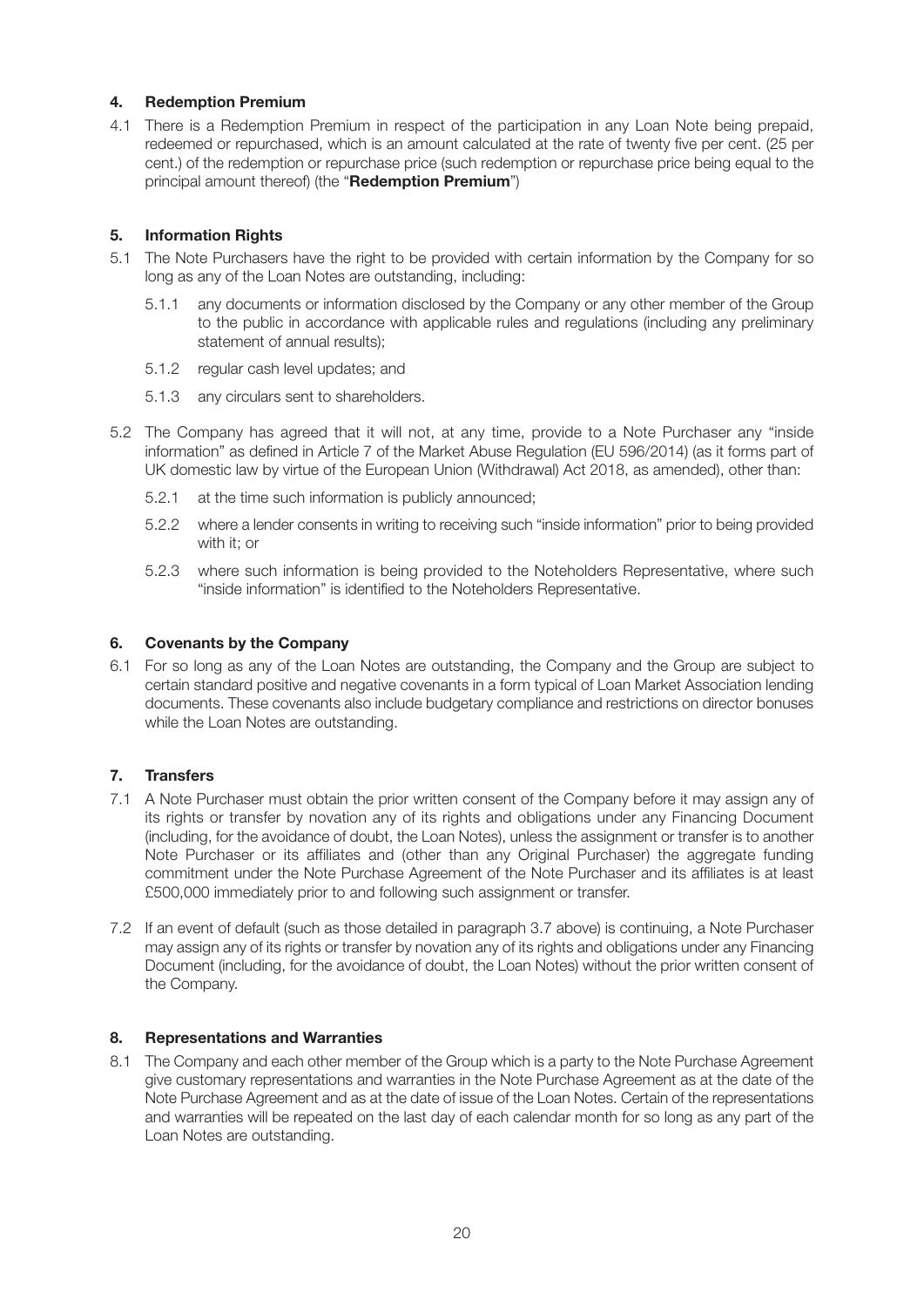#### **4. Redemption Premium**

4.1 There is a Redemption Premium in respect of the participation in any Loan Note being prepaid, redeemed or repurchased, which is an amount calculated at the rate of twenty five per cent. (25 per cent.) of the redemption or repurchase price (such redemption or repurchase price being equal to the principal amount thereof) (the "**Redemption Premium**")

#### **5. Information Rights**

- 5.1 The Note Purchasers have the right to be provided with certain information by the Company for so long as any of the Loan Notes are outstanding, including:
	- 5.1.1 any documents or information disclosed by the Company or any other member of the Group to the public in accordance with applicable rules and regulations (including any preliminary statement of annual results);
	- 5.1.2 regular cash level updates; and
	- 5.1.3 any circulars sent to shareholders.
- 5.2 The Company has agreed that it will not, at any time, provide to a Note Purchaser any "inside information" as defined in Article 7 of the Market Abuse Regulation (EU 596/2014) (as it forms part of UK domestic law by virtue of the European Union (Withdrawal) Act 2018, as amended), other than:
	- 5.2.1 at the time such information is publicly announced;
	- 5.2.2 where a lender consents in writing to receiving such "inside information" prior to being provided with it; or
	- 5.2.3 where such information is being provided to the Noteholders Representative, where such "inside information" is identified to the Noteholders Representative.

#### **6. Covenants by the Company**

6.1 For so long as any of the Loan Notes are outstanding, the Company and the Group are subject to certain standard positive and negative covenants in a form typical of Loan Market Association lending documents. These covenants also include budgetary compliance and restrictions on director bonuses while the Loan Notes are outstanding.

#### **7. Transfers**

- 7.1 A Note Purchaser must obtain the prior written consent of the Company before it may assign any of its rights or transfer by novation any of its rights and obligations under any Financing Document (including, for the avoidance of doubt, the Loan Notes), unless the assignment or transfer is to another Note Purchaser or its affiliates and (other than any Original Purchaser) the aggregate funding commitment under the Note Purchase Agreement of the Note Purchaser and its affiliates is at least £500,000 immediately prior to and following such assignment or transfer.
- 7.2 If an event of default (such as those detailed in paragraph 3.7 above) is continuing, a Note Purchaser may assign any of its rights or transfer by novation any of its rights and obligations under any Financing Document (including, for the avoidance of doubt, the Loan Notes) without the prior written consent of the Company.

#### **8. Representations and Warranties**

8.1 The Company and each other member of the Group which is a party to the Note Purchase Agreement give customary representations and warranties in the Note Purchase Agreement as at the date of the Note Purchase Agreement and as at the date of issue of the Loan Notes. Certain of the representations and warranties will be repeated on the last day of each calendar month for so long as any part of the Loan Notes are outstanding.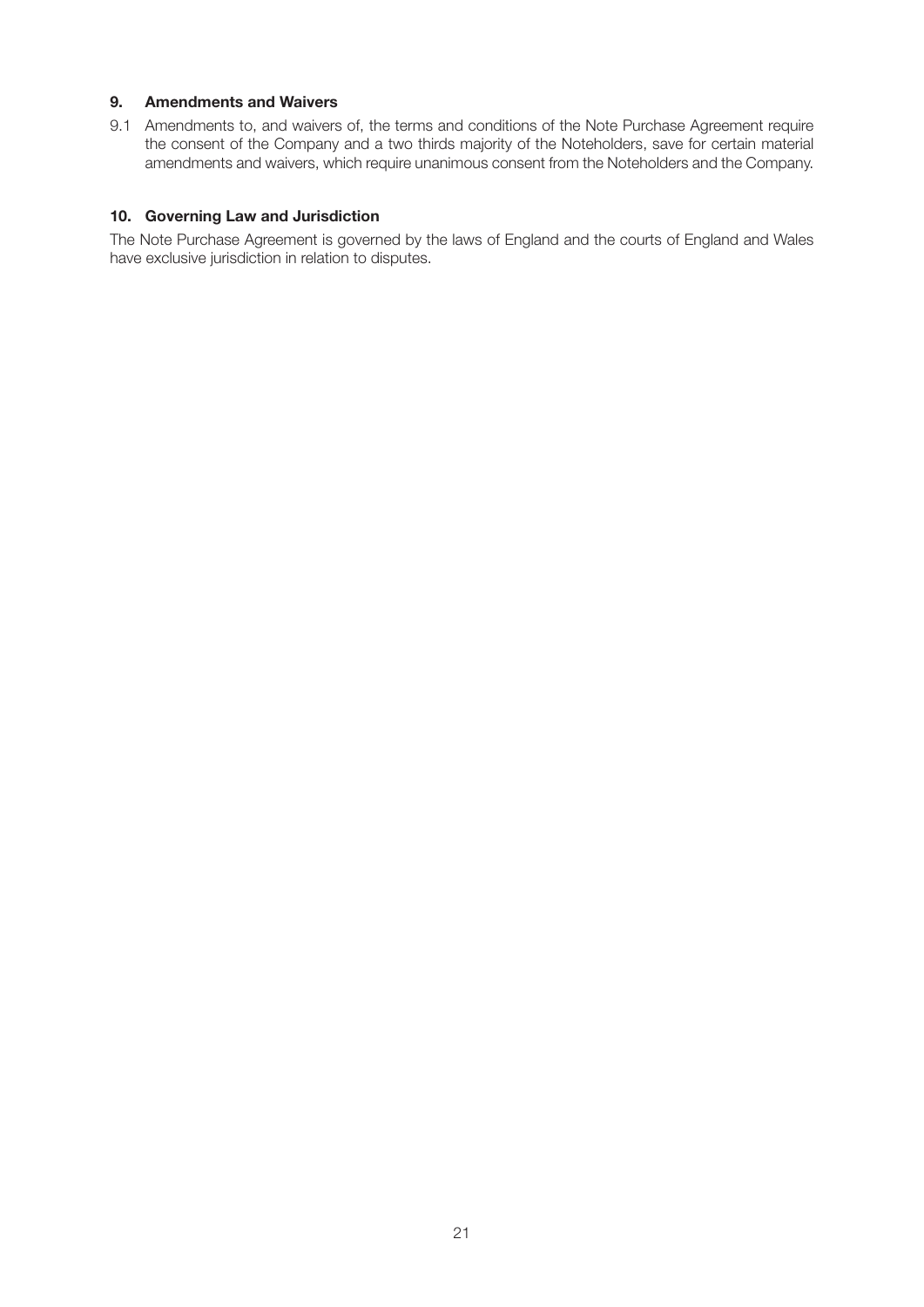#### **9. Amendments and Waivers**

9.1 Amendments to, and waivers of, the terms and conditions of the Note Purchase Agreement require the consent of the Company and a two thirds majority of the Noteholders, save for certain material amendments and waivers, which require unanimous consent from the Noteholders and the Company.

#### **10. Governing Law and Jurisdiction**

The Note Purchase Agreement is governed by the laws of England and the courts of England and Wales have exclusive jurisdiction in relation to disputes.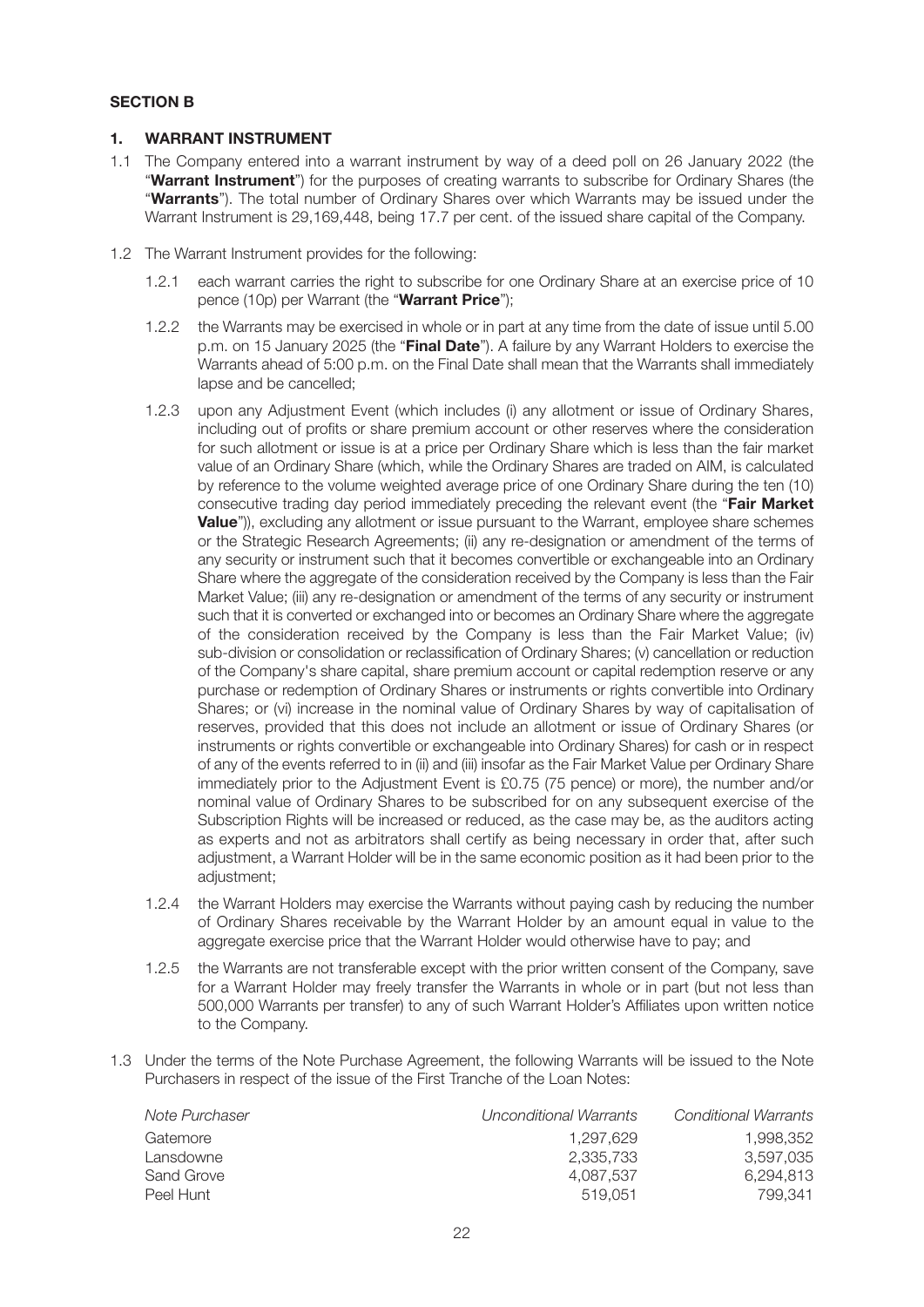#### **SECTION B**

#### **1. WARRANT INSTRUMENT**

- 1.1 The Company entered into a warrant instrument by way of a deed poll on 26 January 2022 (the "**Warrant Instrument**") for the purposes of creating warrants to subscribe for Ordinary Shares (the "**Warrants**"). The total number of Ordinary Shares over which Warrants may be issued under the Warrant Instrument is 29,169,448, being 17.7 per cent. of the issued share capital of the Company.
- 1.2 The Warrant Instrument provides for the following:
	- 1.2.1 each warrant carries the right to subscribe for one Ordinary Share at an exercise price of 10 pence (10p) per Warrant (the "**Warrant Price**");
	- 1.2.2 the Warrants may be exercised in whole or in part at any time from the date of issue until 5.00 p.m. on 15 January 2025 (the "**Final Date**"). A failure by any Warrant Holders to exercise the Warrants ahead of 5:00 p.m. on the Final Date shall mean that the Warrants shall immediately lapse and be cancelled;
	- 1.2.3 upon any Adjustment Event (which includes (i) any allotment or issue of Ordinary Shares, including out of profits or share premium account or other reserves where the consideration for such allotment or issue is at a price per Ordinary Share which is less than the fair market value of an Ordinary Share (which, while the Ordinary Shares are traded on AIM, is calculated by reference to the volume weighted average price of one Ordinary Share during the ten (10) consecutive trading day period immediately preceding the relevant event (the "**Fair Market Value**")), excluding any allotment or issue pursuant to the Warrant, employee share schemes or the Strategic Research Agreements; (ii) any re-designation or amendment of the terms of any security or instrument such that it becomes convertible or exchangeable into an Ordinary Share where the aggregate of the consideration received by the Company is less than the Fair Market Value; (iii) any re-designation or amendment of the terms of any security or instrument such that it is converted or exchanged into or becomes an Ordinary Share where the aggregate of the consideration received by the Company is less than the Fair Market Value; (iv) sub-division or consolidation or reclassification of Ordinary Shares; (v) cancellation or reduction of the Company's share capital, share premium account or capital redemption reserve or any purchase or redemption of Ordinary Shares or instruments or rights convertible into Ordinary Shares; or (vi) increase in the nominal value of Ordinary Shares by way of capitalisation of reserves, provided that this does not include an allotment or issue of Ordinary Shares (or instruments or rights convertible or exchangeable into Ordinary Shares) for cash or in respect of any of the events referred to in (ii) and (iii) insofar as the Fair Market Value per Ordinary Share immediately prior to the Adjustment Event is £0.75 (75 pence) or more), the number and/or nominal value of Ordinary Shares to be subscribed for on any subsequent exercise of the Subscription Rights will be increased or reduced, as the case may be, as the auditors acting as experts and not as arbitrators shall certify as being necessary in order that, after such adjustment, a Warrant Holder will be in the same economic position as it had been prior to the adiustment:
	- 1.2.4 the Warrant Holders may exercise the Warrants without paying cash by reducing the number of Ordinary Shares receivable by the Warrant Holder by an amount equal in value to the aggregate exercise price that the Warrant Holder would otherwise have to pay; and
	- 1.2.5 the Warrants are not transferable except with the prior written consent of the Company, save for a Warrant Holder may freely transfer the Warrants in whole or in part (but not less than 500,000 Warrants per transfer) to any of such Warrant Holder's Affiliates upon written notice to the Company.
- 1.3 Under the terms of the Note Purchase Agreement, the following Warrants will be issued to the Note Purchasers in respect of the issue of the First Tranche of the Loan Notes:

| Note Purchaser | Unconditional Warrants | Conditional Warrants |
|----------------|------------------------|----------------------|
| Gatemore       | 1.297.629              | 1.998.352            |
| Lansdowne      | 2.335.733              | 3.597.035            |
| Sand Grove     | 4.087.537              | 6.294.813            |
| Peel Hunt      | 519.051                | 799.341              |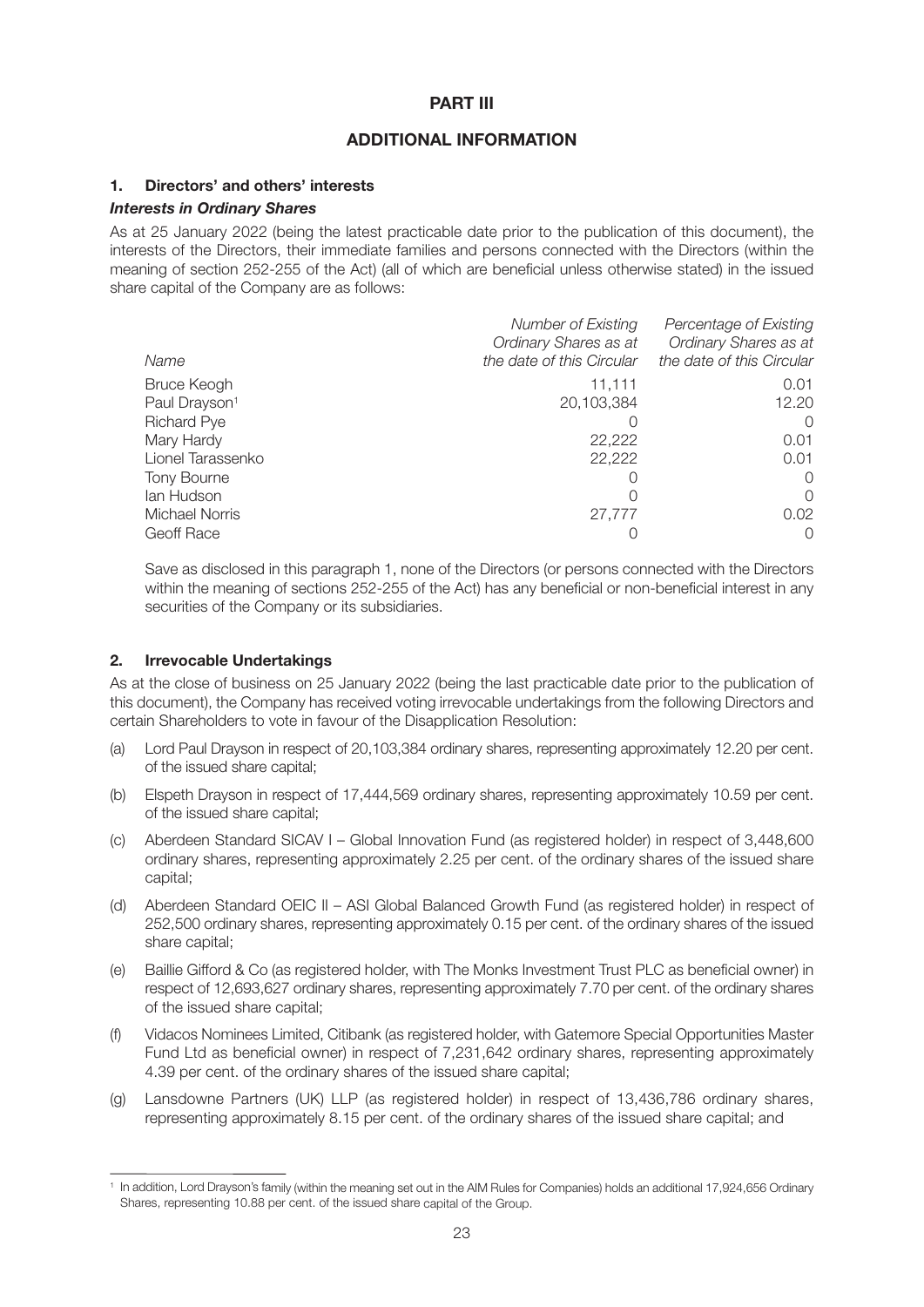#### **PART III**

#### **ADDITIONAL INFORMATION**

#### **1. Directors' and others' interests**

#### *Interests in Ordinary Shares*

As at 25 January 2022 (being the latest practicable date prior to the publication of this document), the interests of the Directors, their immediate families and persons connected with the Directors (within the meaning of section 252-255 of the Act) (all of which are beneficial unless otherwise stated) in the issued share capital of the Company are as follows:

|                           | Number of Existing        | Percentage of Existing    |
|---------------------------|---------------------------|---------------------------|
|                           | Ordinary Shares as at     | Ordinary Shares as at     |
| Name                      | the date of this Circular | the date of this Circular |
| <b>Bruce Keogh</b>        | 11,111                    | 0.01                      |
| Paul Drayson <sup>1</sup> | 20,103,384                | 12.20                     |
| <b>Richard Pye</b>        |                           | $\Omega$                  |
| Mary Hardy                | 22,222                    | 0.01                      |
| Lionel Tarassenko         | 22,222                    | 0.01                      |
| Tony Bourne               |                           | $\Omega$                  |
| lan Hudson                |                           | $\Omega$                  |
| <b>Michael Norris</b>     | 27,777                    | 0.02 <sub>1</sub>         |
| Geoff Race                |                           | O                         |

Save as disclosed in this paragraph 1, none of the Directors (or persons connected with the Directors within the meaning of sections 252-255 of the Act) has any beneficial or non-beneficial interest in any securities of the Company or its subsidiaries.

#### **2. Irrevocable Undertakings**

As at the close of business on 25 January 2022 (being the last practicable date prior to the publication of this document), the Company has received voting irrevocable undertakings from the following Directors and certain Shareholders to vote in favour of the Disapplication Resolution:

- (a) Lord Paul Drayson in respect of 20,103,384 ordinary shares, representing approximately 12.20 per cent. of the issued share capital;
- (b) Elspeth Drayson in respect of 17,444,569 ordinary shares, representing approximately 10.59 per cent. of the issued share capital;
- (c) Aberdeen Standard SICAV I Global Innovation Fund (as registered holder) in respect of 3,448,600 ordinary shares, representing approximately 2.25 per cent. of the ordinary shares of the issued share capital;
- (d) Aberdeen Standard OEIC II ASI Global Balanced Growth Fund (as registered holder) in respect of 252,500 ordinary shares, representing approximately 0.15 per cent. of the ordinary shares of the issued share capital;
- (e) Baillie Gifford & Co (as registered holder, with The Monks Investment Trust PLC as beneficial owner) in respect of 12,693,627 ordinary shares, representing approximately 7.70 per cent. of the ordinary shares of the issued share capital;
- (f) Vidacos Nominees Limited, Citibank (as registered holder, with Gatemore Special Opportunities Master Fund Ltd as beneficial owner) in respect of 7,231,642 ordinary shares, representing approximately 4.39 per cent. of the ordinary shares of the issued share capital;
- (g) Lansdowne Partners (UK) LLP (as registered holder) in respect of 13,436,786 ordinary shares, representing approximately 8.15 per cent. of the ordinary shares of the issued share capital; and

<sup>&</sup>lt;sup>1</sup> In addition, Lord Drayson's family (within the meaning set out in the AIM Rules for Companies) holds an additional 17,924,656 Ordinary Shares, representing 10.88 per cent. of the issued share capital of the Group.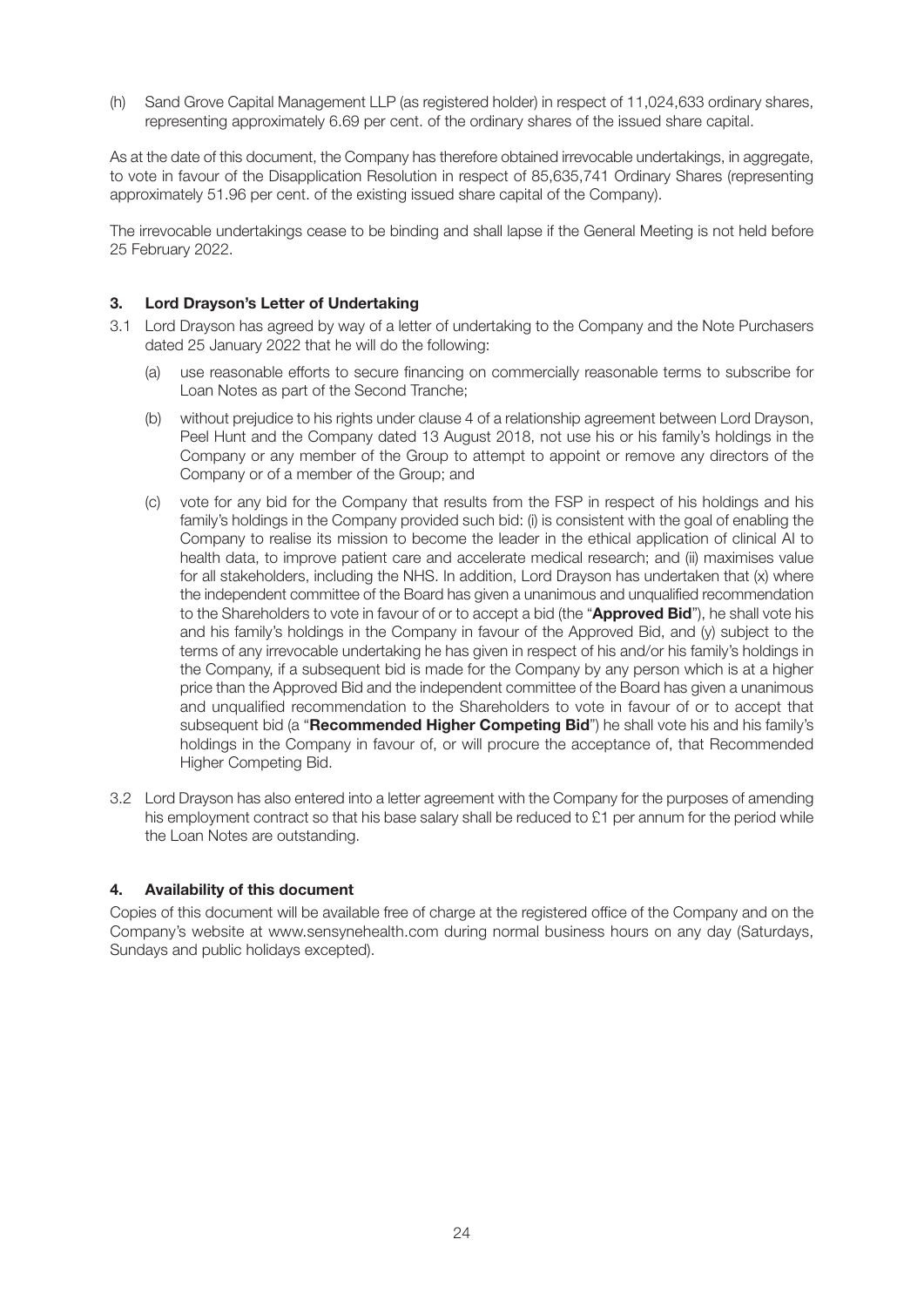(h) Sand Grove Capital Management LLP (as registered holder) in respect of 11,024,633 ordinary shares, representing approximately 6.69 per cent. of the ordinary shares of the issued share capital.

As at the date of this document, the Company has therefore obtained irrevocable undertakings, in aggregate, to vote in favour of the Disapplication Resolution in respect of 85,635,741 Ordinary Shares (representing approximately 51.96 per cent. of the existing issued share capital of the Company).

The irrevocable undertakings cease to be binding and shall lapse if the General Meeting is not held before 25 February 2022.

#### **3. Lord Drayson's Letter of Undertaking**

- 3.1 Lord Drayson has agreed by way of a letter of undertaking to the Company and the Note Purchasers dated 25 January 2022 that he will do the following:
	- (a) use reasonable efforts to secure financing on commercially reasonable terms to subscribe for Loan Notes as part of the Second Tranche;
	- (b) without prejudice to his rights under clause 4 of a relationship agreement between Lord Drayson, Peel Hunt and the Company dated 13 August 2018, not use his or his family's holdings in the Company or any member of the Group to attempt to appoint or remove any directors of the Company or of a member of the Group; and
	- (c) vote for any bid for the Company that results from the FSP in respect of his holdings and his family's holdings in the Company provided such bid: (i) is consistent with the goal of enabling the Company to realise its mission to become the leader in the ethical application of clinical AI to health data, to improve patient care and accelerate medical research; and (ii) maximises value for all stakeholders, including the NHS. In addition, Lord Drayson has undertaken that (x) where the independent committee of the Board has given a unanimous and unqualified recommendation to the Shareholders to vote in favour of or to accept a bid (the "**Approved Bid**"), he shall vote his and his family's holdings in the Company in favour of the Approved Bid, and (y) subject to the terms of any irrevocable undertaking he has given in respect of his and/or his family's holdings in the Company, if a subsequent bid is made for the Company by any person which is at a higher price than the Approved Bid and the independent committee of the Board has given a unanimous and unqualified recommendation to the Shareholders to vote in favour of or to accept that subsequent bid (a "**Recommended Higher Competing Bid**") he shall vote his and his family's holdings in the Company in favour of, or will procure the acceptance of, that Recommended Higher Competing Bid.
- 3.2 Lord Drayson has also entered into a letter agreement with the Company for the purposes of amending his employment contract so that his base salary shall be reduced to £1 per annum for the period while the Loan Notes are outstanding.

#### **4. Availability of this document**

Copies of this document will be available free of charge at the registered office of the Company and on the Company's website at www.sensynehealth.com during normal business hours on any day (Saturdays, Sundays and public holidays excepted).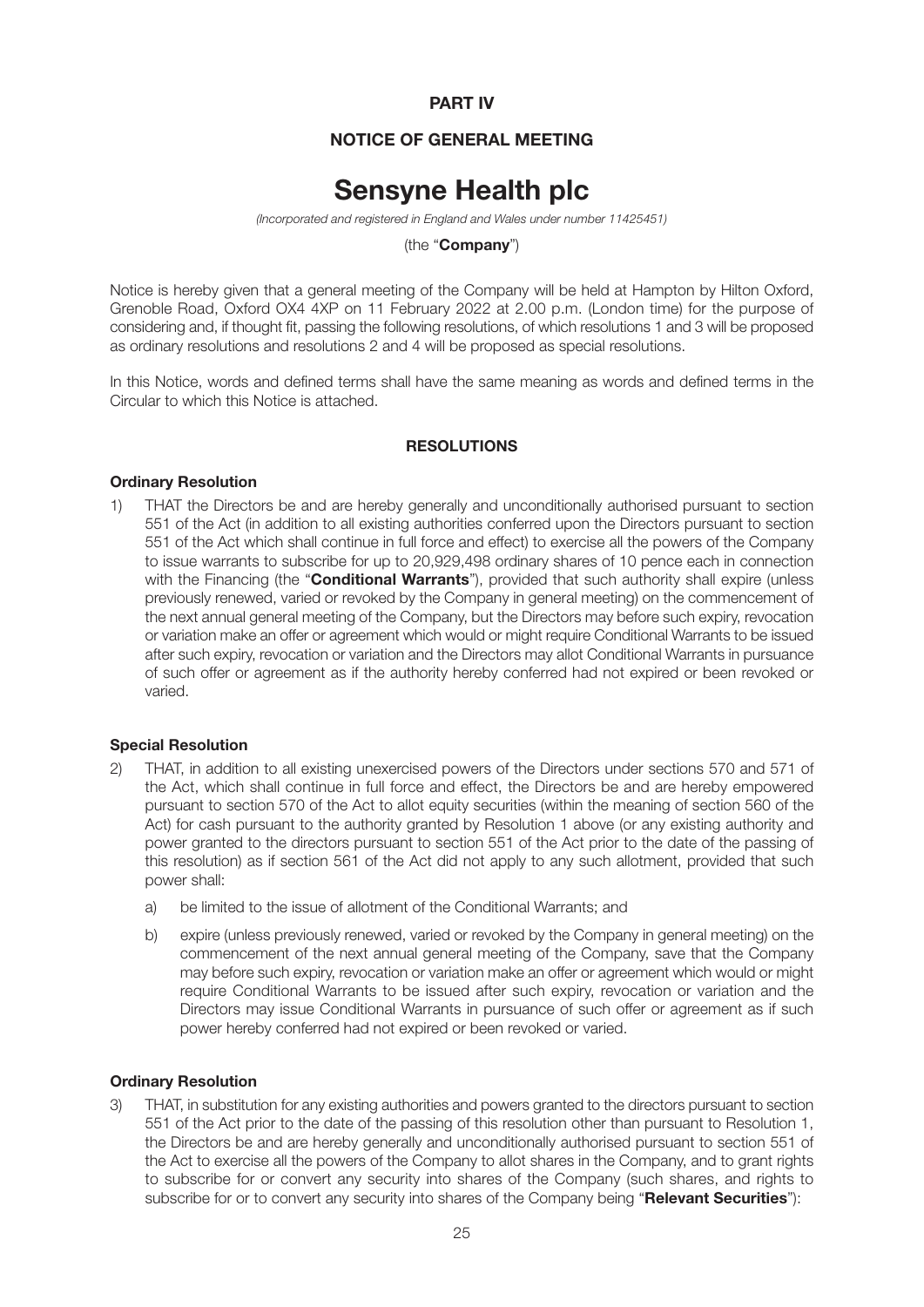#### **PART IV**

#### **NOTICE OF GENERAL MEETING**

### **Sensyne Health plc**

*(Incorporated and registered in England and Wales under number 11425451)*

(the "**Company**")

Notice is hereby given that a general meeting of the Company will be held at Hampton by Hilton Oxford, Grenoble Road, Oxford OX4 4XP on 11 February 2022 at 2.00 p.m. (London time) for the purpose of considering and, if thought fit, passing the following resolutions, of which resolutions 1 and 3 will be proposed as ordinary resolutions and resolutions 2 and 4 will be proposed as special resolutions.

In this Notice, words and defined terms shall have the same meaning as words and defined terms in the Circular to which this Notice is attached.

#### **RESOLUTIONS**

#### **Ordinary Resolution**

1) THAT the Directors be and are hereby generally and unconditionally authorised pursuant to section 551 of the Act (in addition to all existing authorities conferred upon the Directors pursuant to section 551 of the Act which shall continue in full force and effect) to exercise all the powers of the Company to issue warrants to subscribe for up to 20,929,498 ordinary shares of 10 pence each in connection with the Financing (the "**Conditional Warrants**"), provided that such authority shall expire (unless previously renewed, varied or revoked by the Company in general meeting) on the commencement of the next annual general meeting of the Company, but the Directors may before such expiry, revocation or variation make an offer or agreement which would or might require Conditional Warrants to be issued after such expiry, revocation or variation and the Directors may allot Conditional Warrants in pursuance of such offer or agreement as if the authority hereby conferred had not expired or been revoked or varied.

#### **Special Resolution**

- 2) THAT, in addition to all existing unexercised powers of the Directors under sections 570 and 571 of the Act, which shall continue in full force and effect, the Directors be and are hereby empowered pursuant to section 570 of the Act to allot equity securities (within the meaning of section 560 of the Act) for cash pursuant to the authority granted by Resolution 1 above (or any existing authority and power granted to the directors pursuant to section 551 of the Act prior to the date of the passing of this resolution) as if section 561 of the Act did not apply to any such allotment, provided that such power shall:
	- a) be limited to the issue of allotment of the Conditional Warrants; and
	- b) expire (unless previously renewed, varied or revoked by the Company in general meeting) on the commencement of the next annual general meeting of the Company, save that the Company may before such expiry, revocation or variation make an offer or agreement which would or might require Conditional Warrants to be issued after such expiry, revocation or variation and the Directors may issue Conditional Warrants in pursuance of such offer or agreement as if such power hereby conferred had not expired or been revoked or varied.

#### **Ordinary Resolution**

3) THAT, in substitution for any existing authorities and powers granted to the directors pursuant to section 551 of the Act prior to the date of the passing of this resolution other than pursuant to Resolution 1, the Directors be and are hereby generally and unconditionally authorised pursuant to section 551 of the Act to exercise all the powers of the Company to allot shares in the Company, and to grant rights to subscribe for or convert any security into shares of the Company (such shares, and rights to subscribe for or to convert any security into shares of the Company being "**Relevant Securities**"):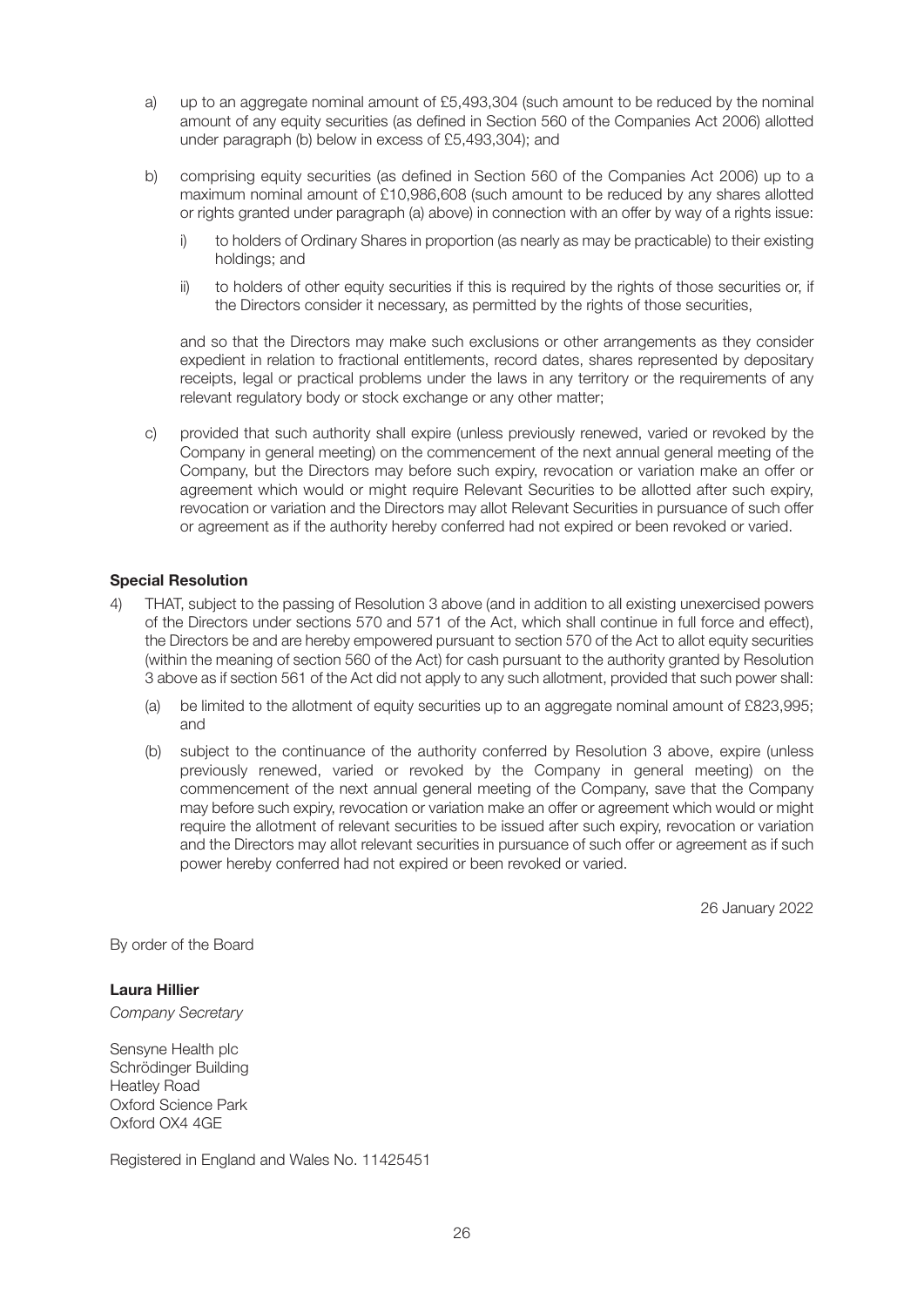- a) up to an aggregate nominal amount of £5,493,304 (such amount to be reduced by the nominal amount of any equity securities (as defined in Section 560 of the Companies Act 2006) allotted under paragraph (b) below in excess of £5,493,304); and
- b) comprising equity securities (as defined in Section 560 of the Companies Act 2006) up to a maximum nominal amount of £10,986,608 (such amount to be reduced by any shares allotted or rights granted under paragraph (a) above) in connection with an offer by way of a rights issue:
	- i) to holders of Ordinary Shares in proportion (as nearly as may be practicable) to their existing holdings; and
	- ii) to holders of other equity securities if this is required by the rights of those securities or, if the Directors consider it necessary, as permitted by the rights of those securities,

and so that the Directors may make such exclusions or other arrangements as they consider expedient in relation to fractional entitlements, record dates, shares represented by depositary receipts, legal or practical problems under the laws in any territory or the requirements of any relevant regulatory body or stock exchange or any other matter;

c) provided that such authority shall expire (unless previously renewed, varied or revoked by the Company in general meeting) on the commencement of the next annual general meeting of the Company, but the Directors may before such expiry, revocation or variation make an offer or agreement which would or might require Relevant Securities to be allotted after such expiry, revocation or variation and the Directors may allot Relevant Securities in pursuance of such offer or agreement as if the authority hereby conferred had not expired or been revoked or varied.

#### **Special Resolution**

- 4) THAT, subject to the passing of Resolution 3 above (and in addition to all existing unexercised powers of the Directors under sections 570 and 571 of the Act, which shall continue in full force and effect), the Directors be and are hereby empowered pursuant to section 570 of the Act to allot equity securities (within the meaning of section 560 of the Act) for cash pursuant to the authority granted by Resolution 3 above as if section 561 of the Act did not apply to any such allotment, provided that such power shall:
	- (a) be limited to the allotment of equity securities up to an aggregate nominal amount of £823,995; and
	- (b) subject to the continuance of the authority conferred by Resolution 3 above, expire (unless previously renewed, varied or revoked by the Company in general meeting) on the commencement of the next annual general meeting of the Company, save that the Company may before such expiry, revocation or variation make an offer or agreement which would or might require the allotment of relevant securities to be issued after such expiry, revocation or variation and the Directors may allot relevant securities in pursuance of such offer or agreement as if such power hereby conferred had not expired or been revoked or varied.

26 January 2022

By order of the Board

#### **Laura Hillier**

*Company Secretary*

Sensyne Health plc Schrödinger Building Heatley Road Oxford Science Park Oxford OX4 4GE

Registered in England and Wales No. 11425451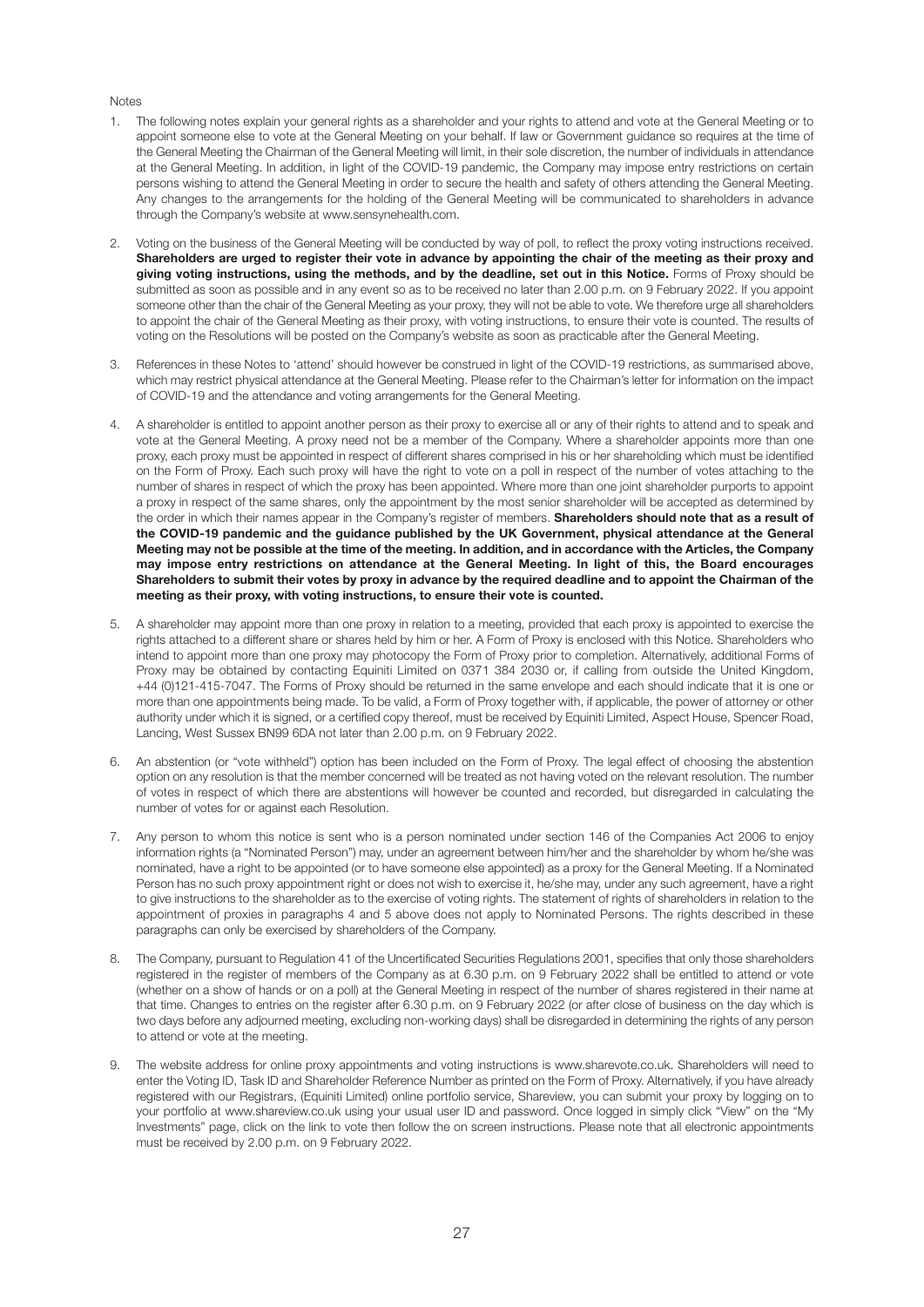#### Notes

- 1. The following notes explain your general rights as a shareholder and your rights to attend and vote at the General Meeting or to appoint someone else to vote at the General Meeting on your behalf. If law or Government guidance so requires at the time of the General Meeting the Chairman of the General Meeting will limit, in their sole discretion, the number of individuals in attendance at the General Meeting. In addition, in light of the COVID-19 pandemic, the Company may impose entry restrictions on certain persons wishing to attend the General Meeting in order to secure the health and safety of others attending the General Meeting. Any changes to the arrangements for the holding of the General Meeting will be communicated to shareholders in advance through the Company's website at www.sensynehealth.com.
- 2. Voting on the business of the General Meeting will be conducted by way of poll, to reflect the proxy voting instructions received. **Shareholders are urged to register their vote in advance by appointing the chair of the meeting as their proxy and giving voting instructions, using the methods, and by the deadline, set out in this Notice.** Forms of Proxy should be submitted as soon as possible and in any event so as to be received no later than 2.00 p.m. on 9 February 2022. If you appoint someone other than the chair of the General Meeting as your proxy, they will not be able to vote. We therefore urge all shareholders to appoint the chair of the General Meeting as their proxy, with voting instructions, to ensure their vote is counted. The results of voting on the Resolutions will be posted on the Company's website as soon as practicable after the General Meeting.
- 3. References in these Notes to 'attend' should however be construed in light of the COVID-19 restrictions, as summarised above, which may restrict physical attendance at the General Meeting. Please refer to the Chairman's letter for information on the impact of COVID-19 and the attendance and voting arrangements for the General Meeting.
- 4. A shareholder is entitled to appoint another person as their proxy to exercise all or any of their rights to attend and to speak and vote at the General Meeting. A proxy need not be a member of the Company. Where a shareholder appoints more than one proxy, each proxy must be appointed in respect of different shares comprised in his or her shareholding which must be identified on the Form of Proxy. Each such proxy will have the right to vote on a poll in respect of the number of votes attaching to the number of shares in respect of which the proxy has been appointed. Where more than one joint shareholder purports to appoint a proxy in respect of the same shares, only the appointment by the most senior shareholder will be accepted as determined by the order in which their names appear in the Company's register of members. **Shareholders should note that as a result of the COVID-19 pandemic and the guidance published by the UK Government, physical attendance at the General Meeting may not be possible at the time of the meeting. In addition, and in accordance with the Articles, the Company may impose entry restrictions on attendance at the General Meeting. In light of this, the Board encourages Shareholders to submit their votes by proxy in advance by the required deadline and to appoint the Chairman of the meeting as their proxy, with voting instructions, to ensure their vote is counted.**
- 5. A shareholder may appoint more than one proxy in relation to a meeting, provided that each proxy is appointed to exercise the rights attached to a different share or shares held by him or her. A Form of Proxy is enclosed with this Notice. Shareholders who intend to appoint more than one proxy may photocopy the Form of Proxy prior to completion. Alternatively, additional Forms of Proxy may be obtained by contacting Equiniti Limited on 0371 384 2030 or, if calling from outside the United Kingdom, +44 (0)121-415-7047. The Forms of Proxy should be returned in the same envelope and each should indicate that it is one or more than one appointments being made. To be valid, a Form of Proxy together with, if applicable, the power of attorney or other authority under which it is signed, or a certified copy thereof, must be received by Equiniti Limited, Aspect House, Spencer Road, Lancing, West Sussex BN99 6DA not later than 2.00 p.m. on 9 February 2022.
- 6. An abstention (or "vote withheld") option has been included on the Form of Proxy. The legal effect of choosing the abstention option on any resolution is that the member concerned will be treated as not having voted on the relevant resolution. The number of votes in respect of which there are abstentions will however be counted and recorded, but disregarded in calculating the number of votes for or against each Resolution.
- 7. Any person to whom this notice is sent who is a person nominated under section 146 of the Companies Act 2006 to enjoy information rights (a "Nominated Person") may, under an agreement between him/her and the shareholder by whom he/she was nominated, have a right to be appointed (or to have someone else appointed) as a proxy for the General Meeting. If a Nominated Person has no such proxy appointment right or does not wish to exercise it, he/she may, under any such agreement, have a right to give instructions to the shareholder as to the exercise of voting rights. The statement of rights of shareholders in relation to the appointment of proxies in paragraphs 4 and 5 above does not apply to Nominated Persons. The rights described in these paragraphs can only be exercised by shareholders of the Company.
- 8. The Company, pursuant to Regulation 41 of the Uncertificated Securities Regulations 2001, specifies that only those shareholders registered in the register of members of the Company as at 6.30 p.m. on 9 February 2022 shall be entitled to attend or vote (whether on a show of hands or on a poll) at the General Meeting in respect of the number of shares registered in their name at that time. Changes to entries on the register after 6.30 p.m. on 9 February 2022 (or after close of business on the day which is two days before any adjourned meeting, excluding non-working days) shall be disregarded in determining the rights of any person to attend or vote at the meeting.
- 9. The website address for online proxy appointments and voting instructions is www.sharevote.co.uk. Shareholders will need to enter the Voting ID, Task ID and Shareholder Reference Number as printed on the Form of Proxy. Alternatively, if you have already registered with our Registrars, (Equiniti Limited) online portfolio service, Shareview, you can submit your proxy by logging on to your portfolio at www.shareview.co.uk using your usual user ID and password. Once logged in simply click "View" on the "My Investments" page, click on the link to vote then follow the on screen instructions. Please note that all electronic appointments must be received by 2.00 p.m. on 9 February 2022.